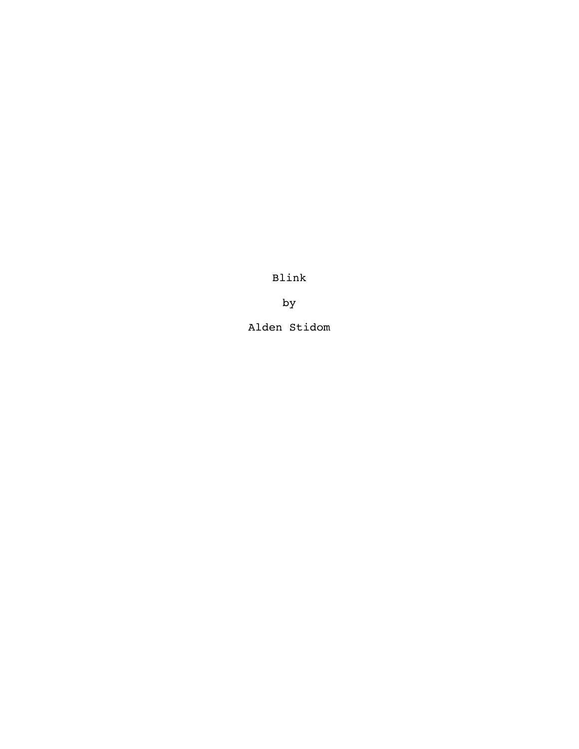Blink

by

Alden Stidom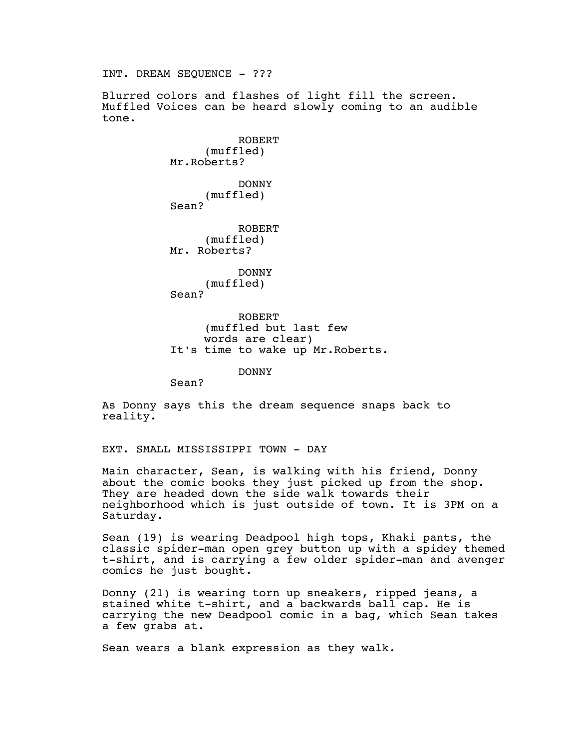INT. DREAM SEQUENCE - ??? Blurred colors and flashes of light fill the screen. Muffled Voices can be heard slowly coming to an audible tone. ROBERT (muffled) Mr.Roberts? DONNY (muffled) Sean? ROBERT (muffled) Mr. Roberts? DONNY (muffled) Sean? ROBERT (muffled but last few words are clear) It's time to wake up Mr.Roberts. DONNY Sean?

As Donny says this the dream sequence snaps back to reality.

EXT. SMALL MISSISSIPPI TOWN - DAY

Main character, Sean, is walking with his friend, Donny about the comic books they just picked up from the shop. They are headed down the side walk towards their neighborhood which is just outside of town. It is 3PM on a Saturday.

Sean (19) is wearing Deadpool high tops, Khaki pants, the classic spider-man open grey button up with a spidey themed t-shirt, and is carrying a few older spider-man and avenger comics he just bought.

Donny (21) is wearing torn up sneakers, ripped jeans, a stained white t-shirt, and a backwards ball cap. He is carrying the new Deadpool comic in a bag, which Sean takes a few grabs at.

Sean wears a blank expression as they walk.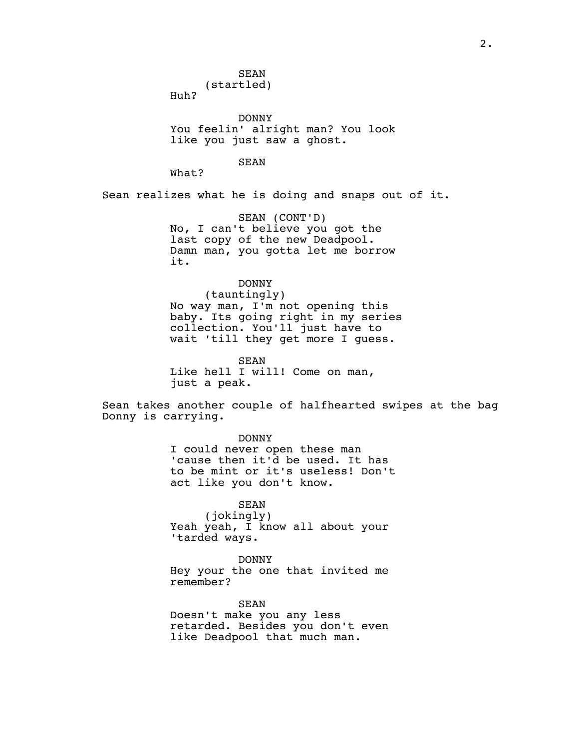Huh?

DONNY You feelin' alright man? You look like you just saw a ghost.

SEAN

What?

Sean realizes what he is doing and snaps out of it.

SEAN (CONT'D) No, I can't believe you got the last copy of the new Deadpool. Damn man, you gotta let me borrow it.

# DONNY

(tauntingly) No way man, I'm not opening this baby. Its going right in my series collection. You'll just have to wait 'till they get more I guess.

SEAN Like hell I will! Come on man, just a peak.

Sean takes another couple of halfhearted swipes at the bag Donny is carrying.

DONNY

I could never open these man 'cause then it'd be used. It has to be mint or it's useless! Don't act like you don't know.

SEAN

(jokingly) Yeah yeah, I know all about your 'tarded ways.

DONNY Hey your the one that invited me remember?

SEAN Doesn't make you any less retarded. Besides you don't even like Deadpool that much man.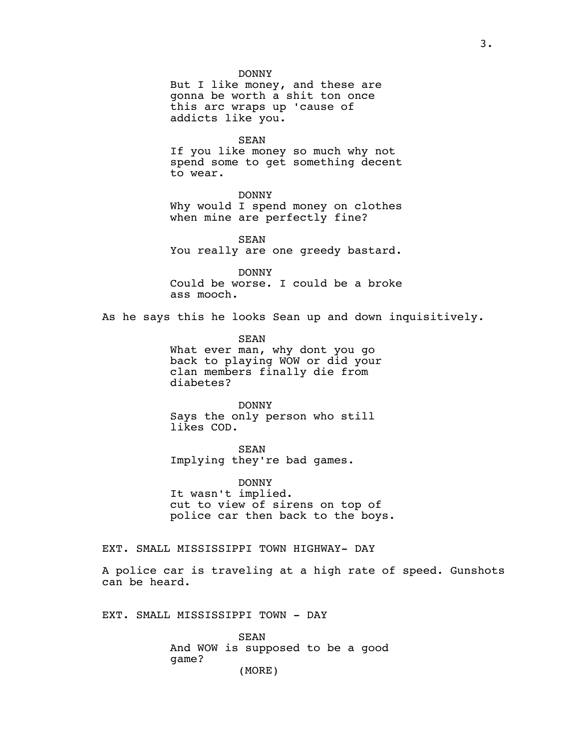DONNY

But I like money, and these are gonna be worth a shit ton once this arc wraps up 'cause of addicts like you.

SEAN

If you like money so much why not spend some to get something decent to wear.

DONNY Why would I spend money on clothes when mine are perfectly fine?

SEAN You really are one greedy bastard.

DONNY Could be worse. I could be a broke ass mooch.

As he says this he looks Sean up and down inquisitively.

SEAN What ever man, why dont you go back to playing WOW or did your clan members finally die from diabetes?

DONNY Says the only person who still likes COD.

SEAN Implying they're bad games.

DONNY It wasn't implied. cut to view of sirens on top of police car then back to the boys.

EXT. SMALL MISSISSIPPI TOWN HIGHWAY- DAY

A police car is traveling at a high rate of speed. Gunshots can be heard.

EXT. SMALL MISSISSIPPI TOWN - DAY

SEAN And WOW is supposed to be a good game? (MORE)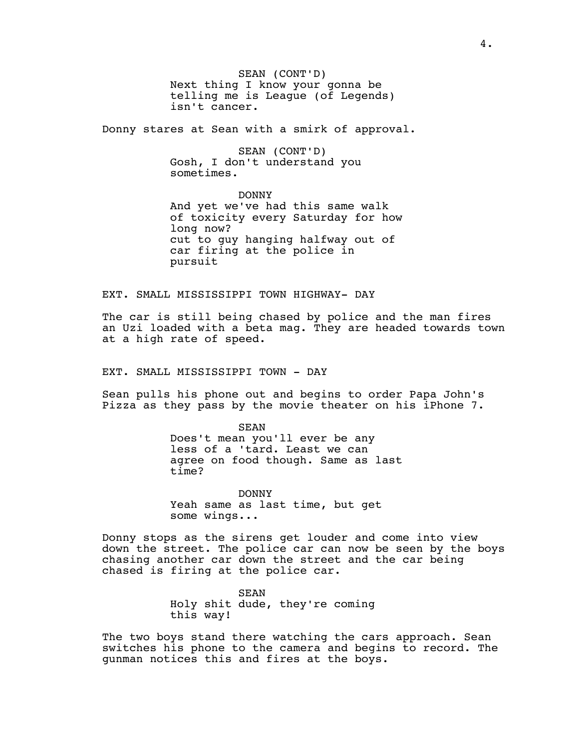SEAN (CONT'D) Next thing I know your gonna be telling me is League (of Legends) isn't cancer.

Donny stares at Sean with a smirk of approval.

SEAN (CONT'D) Gosh, I don't understand you sometimes.

DONNY And yet we've had this same walk of toxicity every Saturday for how long now? cut to guy hanging halfway out of car firing at the police in pursuit

EXT. SMALL MISSISSIPPI TOWN HIGHWAY- DAY

The car is still being chased by police and the man fires an Uzi loaded with a beta mag. They are headed towards town at a high rate of speed.

EXT. SMALL MISSISSIPPI TOWN - DAY

Sean pulls his phone out and begins to order Papa John's Pizza as they pass by the movie theater on his iPhone 7.

> SEAN Does't mean you'll ever be any less of a 'tard. Least we can agree on food though. Same as last time?

DONNY Yeah same as last time, but get some wings...

Donny stops as the sirens get louder and come into view down the street. The police car can now be seen by the boys chasing another car down the street and the car being chased is firing at the police car.

> SEAN Holy shit dude, they're coming this way!

The two boys stand there watching the cars approach. Sean switches his phone to the camera and begins to record. The gunman notices this and fires at the boys.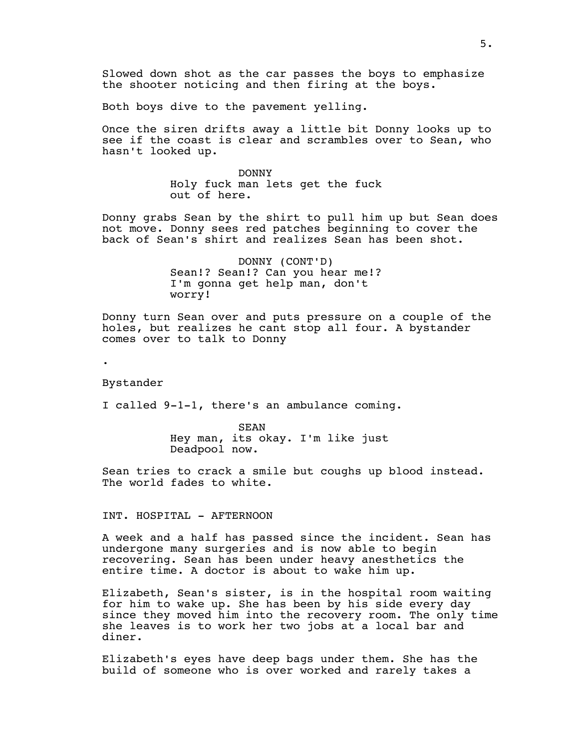Both boys dive to the pavement yelling.

Once the siren drifts away a little bit Donny looks up to see if the coast is clear and scrambles over to Sean, who hasn't looked up.

> DONNY Holy fuck man lets get the fuck out of here.

Donny grabs Sean by the shirt to pull him up but Sean does not move. Donny sees red patches beginning to cover the back of Sean's shirt and realizes Sean has been shot.

> DONNY (CONT'D) Sean!? Sean!? Can you hear me!? I'm gonna get help man, don't worry!

Donny turn Sean over and puts pressure on a couple of the holes, but realizes he cant stop all four. A bystander comes over to talk to Donny

.

Bystander

I called 9-1-1, there's an ambulance coming.

SEAN Hey man, its okay. I'm like just Deadpool now.

Sean tries to crack a smile but coughs up blood instead. The world fades to white.

INT. HOSPITAL - AFTERNOON

A week and a half has passed since the incident. Sean has undergone many surgeries and is now able to begin recovering. Sean has been under heavy anesthetics the entire time. A doctor is about to wake him up.

Elizabeth, Sean's sister, is in the hospital room waiting for him to wake up. She has been by his side every day since they moved him into the recovery room. The only time she leaves is to work her two jobs at a local bar and diner.

Elizabeth's eyes have deep bags under them. She has the build of someone who is over worked and rarely takes a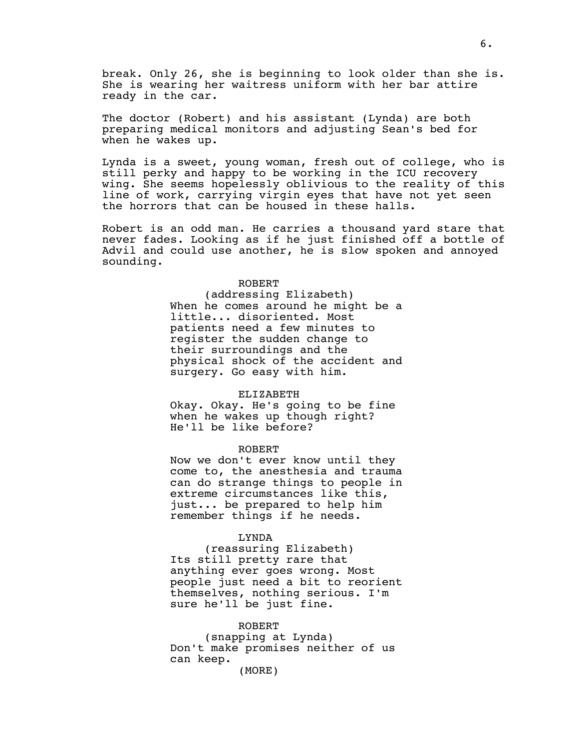break. Only 26, she is beginning to look older than she is. She is wearing her waitress uniform with her bar attire ready in the car.

The doctor (Robert) and his assistant (Lynda) are both preparing medical monitors and adjusting Sean's bed for when he wakes up.

Lynda is a sweet, young woman, fresh out of college, who is still perky and happy to be working in the ICU recovery wing. She seems hopelessly oblivious to the reality of this line of work, carrying virgin eyes that have not yet seen the horrors that can be housed in these halls.

Robert is an odd man. He carries a thousand yard stare that never fades. Looking as if he just finished off a bottle of Advil and could use another, he is slow spoken and annoyed sounding.

## ROBERT

(addressing Elizabeth) When he comes around he might be a little... disoriented. Most patients need a few minutes to register the sudden change to their surroundings and the physical shock of the accident and surgery. Go easy with him.

#### ELIZABETH

Okay. Okay. He's going to be fine when he wakes up though right? He'll be like before?

## ROBERT

Now we don't ever know until they come to, the anesthesia and trauma can do strange things to people in extreme circumstances like this, just... be prepared to help him remember things if he needs.

## LYNDA

(reassuring Elizabeth) Its still pretty rare that anything ever goes wrong. Most people just need a bit to reorient themselves, nothing serious. I'm sure he'll be just fine.

# ROBERT (snapping at Lynda) Don't make promises neither of us

(MORE)

can keep.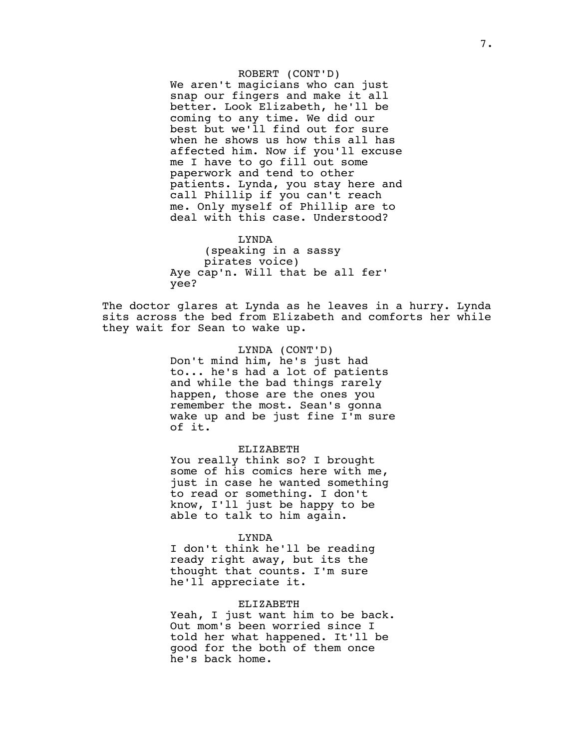ROBERT (CONT'D) We aren't magicians who can just snap our fingers and make it all better. Look Elizabeth, he'll be coming to any time. We did our best but we'll find out for sure when he shows us how this all has affected him. Now if you'll excuse me I have to go fill out some paperwork and tend to other patients. Lynda, you stay here and call Phillip if you can't reach me. Only myself of Phillip are to deal with this case. Understood?

LYNDA (speaking in a sassy pirates voice) Aye cap'n. Will that be all fer' yee?

The doctor glares at Lynda as he leaves in a hurry. Lynda sits across the bed from Elizabeth and comforts her while they wait for Sean to wake up.

> LYNDA (CONT'D) Don't mind him, he's just had to... he's had a lot of patients and while the bad things rarely happen, those are the ones you remember the most. Sean's gonna wake up and be just fine I'm sure of it.

## ELIZABETH

You really think so? I brought some of his comics here with me, just in case he wanted something to read or something. I don't know, I'll just be happy to be able to talk to him again.

#### LYNDA

I don't think he'll be reading ready right away, but its the thought that counts. I'm sure he'll appreciate it.

# ELIZABETH

Yeah, I just want him to be back. Out mom's been worried since I told her what happened. It'll be good for the both of them once he's back home.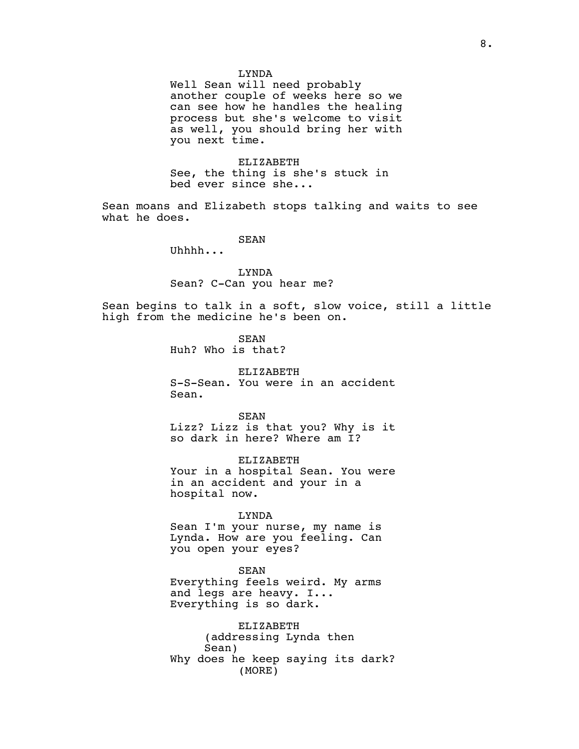#### LYNDA

Well Sean will need probably another couple of weeks here so we can see how he handles the healing process but she's welcome to visit as well, you should bring her with you next time.

ELIZABETH See, the thing is she's stuck in bed ever since she...

Sean moans and Elizabeth stops talking and waits to see what he does.

SEAN

Uhhhh...

LYNDA Sean? C-Can you hear me?

Sean begins to talk in a soft, slow voice, still a little high from the medicine he's been on.

> SEAN Huh? Who is that?

ELIZABETH S-S-Sean. You were in an accident Sean.

SEAN Lizz? Lizz is that you? Why is it so dark in here? Where am I?

ELIZABETH Your in a hospital Sean. You were in an accident and your in a hospital now.

LYNDA

Sean I'm your nurse, my name is Lynda. How are you feeling. Can you open your eyes?

SEAN Everything feels weird. My arms and legs are heavy. I... Everything is so dark.

ELIZABETH (addressing Lynda then Sean) Why does he keep saying its dark? (MORE)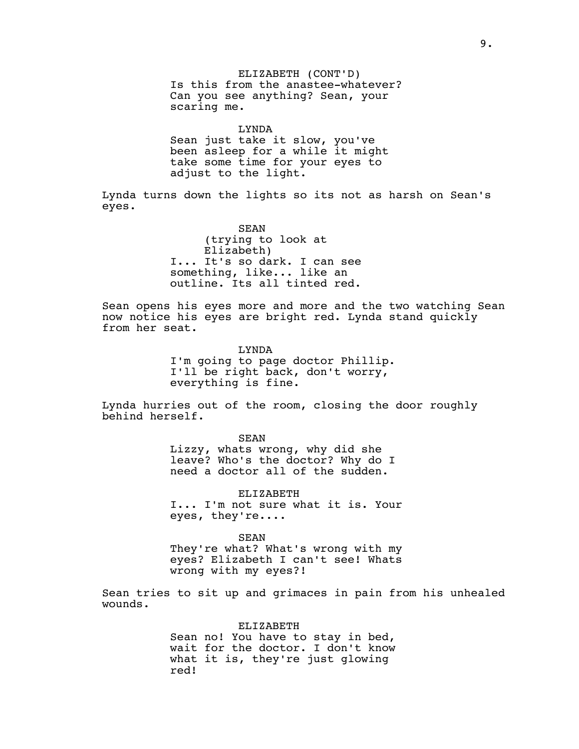ELIZABETH (CONT'D) Is this from the anastee-whatever? Can you see anything? Sean, your scaring me.

LYNDA Sean just take it slow, you've been asleep for a while it might take some time for your eyes to adjust to the light.

Lynda turns down the lights so its not as harsh on Sean's eyes.

> SEAN (trying to look at Elizabeth) I... It's so dark. I can see something, like... like an outline. Its all tinted red.

Sean opens his eyes more and more and the two watching Sean now notice his eyes are bright red. Lynda stand quickly from her seat.

> LYNDA I'm going to page doctor Phillip. I'll be right back, don't worry, everything is fine.

Lynda hurries out of the room, closing the door roughly behind herself.

> SEAN Lizzy, whats wrong, why did she leave? Who's the doctor? Why do I need a doctor all of the sudden.

ELIZABETH I... I'm not sure what it is. Your eyes, they're....

SEAN They're what? What's wrong with my eyes? Elizabeth I can't see! Whats wrong with my eyes?!

Sean tries to sit up and grimaces in pain from his unhealed wounds.

> ELIZABETH Sean no! You have to stay in bed, wait for the doctor. I don't know what it is, they're just glowing red!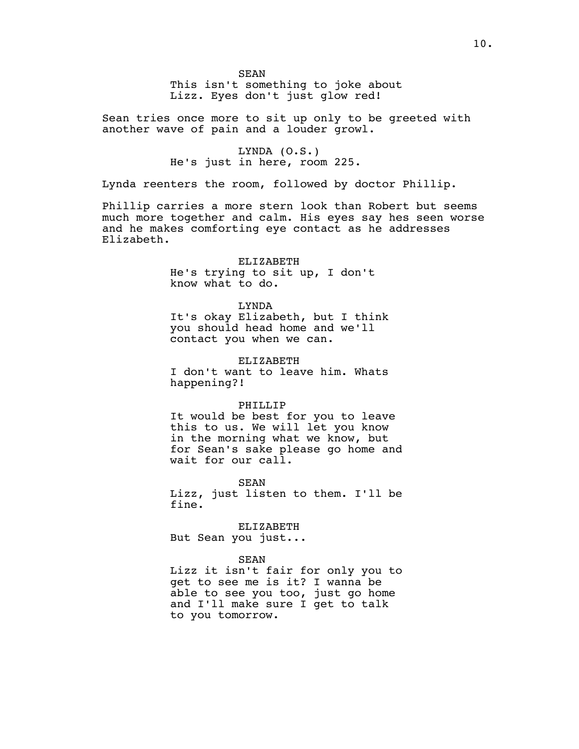This isn't something to joke about Lizz. Eyes don't just glow red!

Sean tries once more to sit up only to be greeted with another wave of pain and a louder growl.

> LYNDA (O.S.) He's just in here, room 225.

Lynda reenters the room, followed by doctor Phillip.

Phillip carries a more stern look than Robert but seems much more together and calm. His eyes say hes seen worse and he makes comforting eye contact as he addresses Elizabeth.

### ELIZABETH

He's trying to sit up, I don't know what to do.

# LYNDA

It's okay Elizabeth, but I think you should head home and we'll contact you when we can.

ELIZABETH

I don't want to leave him. Whats happening?!

## PHILLIP

It would be best for you to leave this to us. We will let you know in the morning what we know, but for Sean's sake please go home and wait for our call.

SEAN

Lizz, just listen to them. I'll be fine.

ELIZABETH But Sean you just...

#### SEAN

Lizz it isn't fair for only you to get to see me is it? I wanna be able to see you too, just go home and I'll make sure I get to talk to you tomorrow.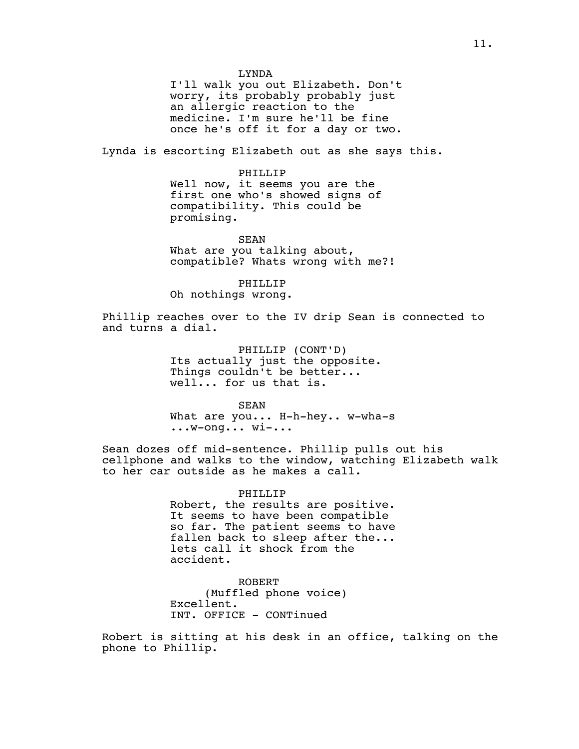LYNDA

I'll walk you out Elizabeth. Don't worry, its probably probably just an allergic reaction to the medicine. I'm sure he'll be fine once he's off it for a day or two.

Lynda is escorting Elizabeth out as she says this.

PHILLIP Well now, it seems you are the first one who's showed signs of compatibility. This could be promising.

SEAN What are you talking about, compatible? Whats wrong with me?!

PHILLIP Oh nothings wrong.

Phillip reaches over to the IV drip Sean is connected to and turns a dial.

> PHILLIP (CONT'D) Its actually just the opposite. Things couldn't be better... well... for us that is.

SEAN What are you... H-h-hey.. w-wha-s ...w-ong... wi-...

Sean dozes off mid-sentence. Phillip pulls out his cellphone and walks to the window, watching Elizabeth walk to her car outside as he makes a call.

> PHILLIP Robert, the results are positive. It seems to have been compatible so far. The patient seems to have fallen back to sleep after the... lets call it shock from the accident.

ROBERT (Muffled phone voice) Excellent. INT. OFFICE - CONTinued

Robert is sitting at his desk in an office, talking on the phone to Phillip.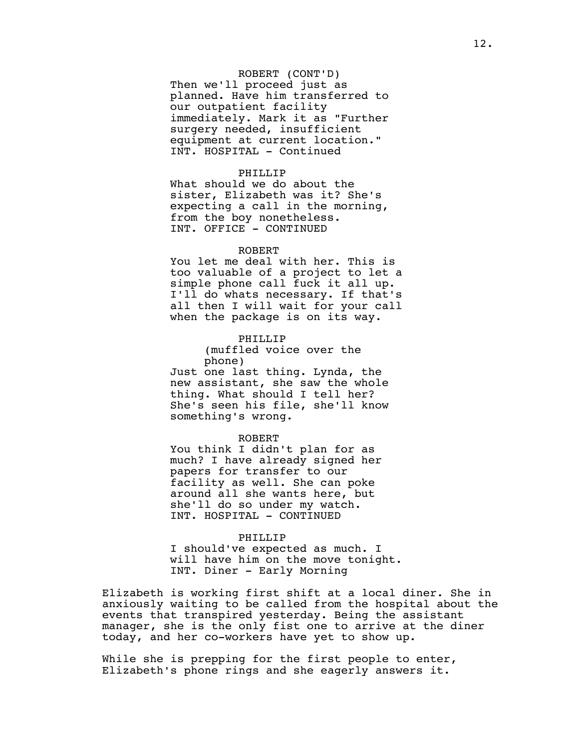ROBERT (CONT'D) Then we'll proceed just as planned. Have him transferred to our outpatient facility immediately. Mark it as "Further surgery needed, insufficient equipment at current location." INT. HOSPITAL - Continued

## PHILLIP

What should we do about the sister, Elizabeth was it? She's expecting a call in the morning, from the boy nonetheless. INT. OFFICE - CONTINUED

#### ROBERT

You let me deal with her. This is too valuable of a project to let a simple phone call fuck it all up. I'll do whats necessary. If that's all then I will wait for your call when the package is on its way.

## PHILLIP

(muffled voice over the phone) Just one last thing. Lynda, the new assistant, she saw the whole thing. What should I tell her? She's seen his file, she'll know something's wrong.

#### ROBERT

You think I didn't plan for as much? I have already signed her papers for transfer to our facility as well. She can poke around all she wants here, but she'll do so under my watch. INT. HOSPITAL - CONTINUED

#### PHILLIP

I should've expected as much. I will have him on the move tonight. INT. Diner - Early Morning

Elizabeth is working first shift at a local diner. She in anxiously waiting to be called from the hospital about the events that transpired yesterday. Being the assistant manager, she is the only fist one to arrive at the diner today, and her co-workers have yet to show up.

While she is prepping for the first people to enter, Elizabeth's phone rings and she eagerly answers it.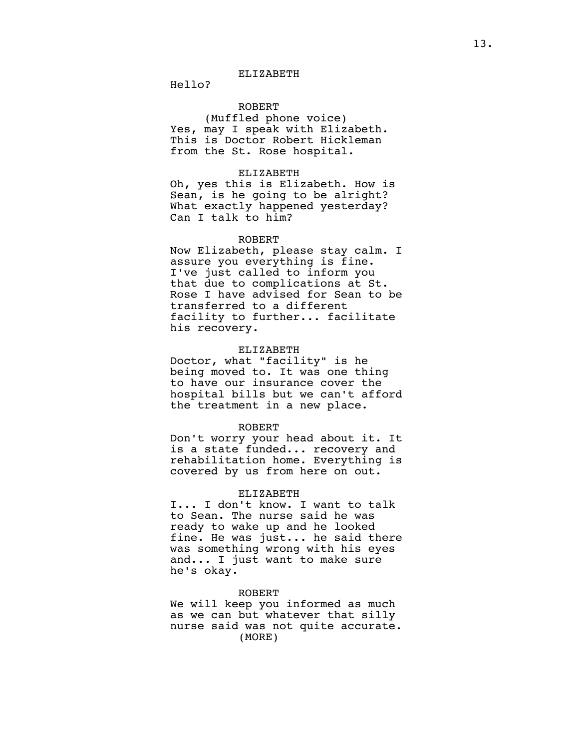Hello?

# ROBERT

(Muffled phone voice) Yes, may I speak with Elizabeth. This is Doctor Robert Hickleman from the St. Rose hospital.

# ELIZABETH

Oh, yes this is Elizabeth. How is Sean, is he going to be alright? What exactly happened yesterday? Can I talk to him?

#### ROBERT

Now Elizabeth, please stay calm. I assure you everything is fine. I've just called to inform you that due to complications at St. Rose I have advised for Sean to be transferred to a different facility to further... facilitate his recovery.

# ELIZABETH

Doctor, what "facility" is he being moved to. It was one thing to have our insurance cover the hospital bills but we can't afford the treatment in a new place.

## ROBERT

Don't worry your head about it. It is a state funded... recovery and rehabilitation home. Everything is covered by us from here on out.

# ELIZABETH

I... I don't know. I want to talk to Sean. The nurse said he was ready to wake up and he looked fine. He was just... he said there was something wrong with his eyes and... I just want to make sure he's okay.

#### ROBERT

We will keep you informed as much as we can but whatever that silly nurse said was not quite accurate. (MORE)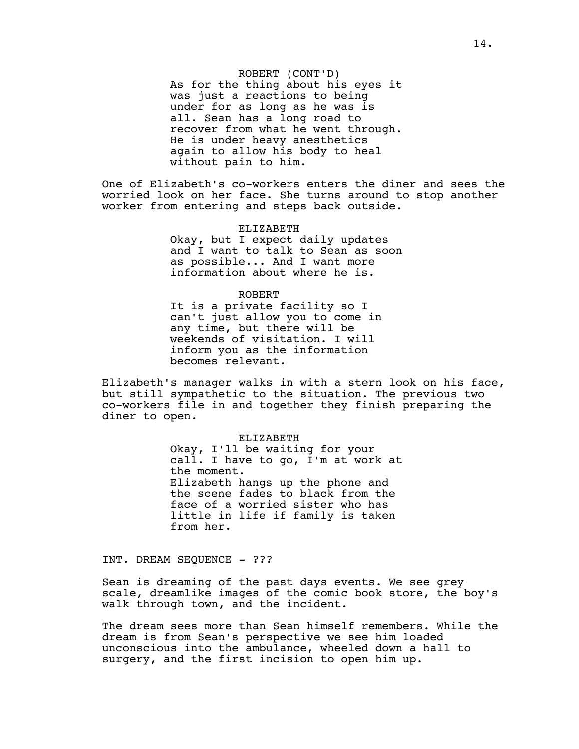ROBERT (CONT'D) As for the thing about his eyes it was just a reactions to being under for as long as he was is all. Sean has a long road to recover from what he went through. He is under heavy anesthetics again to allow his body to heal without pain to him.

One of Elizabeth's co-workers enters the diner and sees the worried look on her face. She turns around to stop another worker from entering and steps back outside.

> ELIZABETH Okay, but I expect daily updates and I want to talk to Sean as soon as possible... And I want more information about where he is.

> > ROBERT

It is a private facility so I can't just allow you to come in any time, but there will be weekends of visitation. I will inform you as the information becomes relevant.

Elizabeth's manager walks in with a stern look on his face, but still sympathetic to the situation. The previous two co-workers file in and together they finish preparing the diner to open.

> ELIZABETH Okay, I'll be waiting for your call. I have to go, I'm at work at the moment. Elizabeth hangs up the phone and the scene fades to black from the face of a worried sister who has little in life if family is taken from her.

INT. DREAM SEQUENCE - ???

Sean is dreaming of the past days events. We see grey scale, dreamlike images of the comic book store, the boy's walk through town, and the incident.

The dream sees more than Sean himself remembers. While the dream is from Sean's perspective we see him loaded unconscious into the ambulance, wheeled down a hall to surgery, and the first incision to open him up.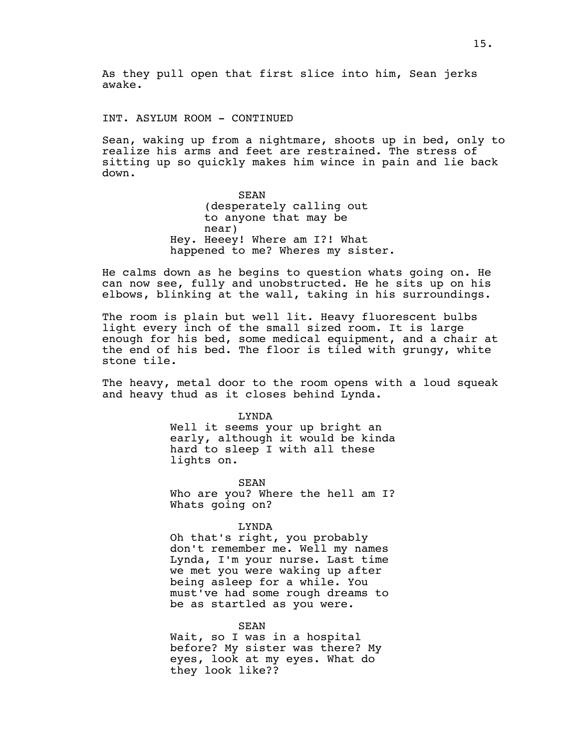As they pull open that first slice into him, Sean jerks awake.

INT. ASYLUM ROOM - CONTINUED

Sean, waking up from a nightmare, shoots up in bed, only to realize his arms and feet are restrained. The stress of sitting up so quickly makes him wince in pain and lie back down.

> SEAN (desperately calling out to anyone that may be near) Hey. Heeey! Where am I?! What happened to me? Wheres my sister.

He calms down as he begins to question whats going on. He can now see, fully and unobstructed. He he sits up on his elbows, blinking at the wall, taking in his surroundings.

The room is plain but well lit. Heavy fluorescent bulbs light every inch of the small sized room. It is large enough for his bed, some medical equipment, and a chair at the end of his bed. The floor is tiled with grungy, white stone tile.

The heavy, metal door to the room opens with a loud squeak and heavy thud as it closes behind Lynda.

> LYNDA Well it seems your up bright an early, although it would be kinda hard to sleep I with all these lights on.

> SEAN Who are you? Where the hell am I? Whats going on?

> > LYNDA

Oh that's right, you probably don't remember me. Well my names Lynda, I'm your nurse. Last time we met you were waking up after being asleep for a while. You must've had some rough dreams to be as startled as you were.

SEAN Wait, so I was in a hospital before? My sister was there? My eyes, look at my eyes. What do they look like??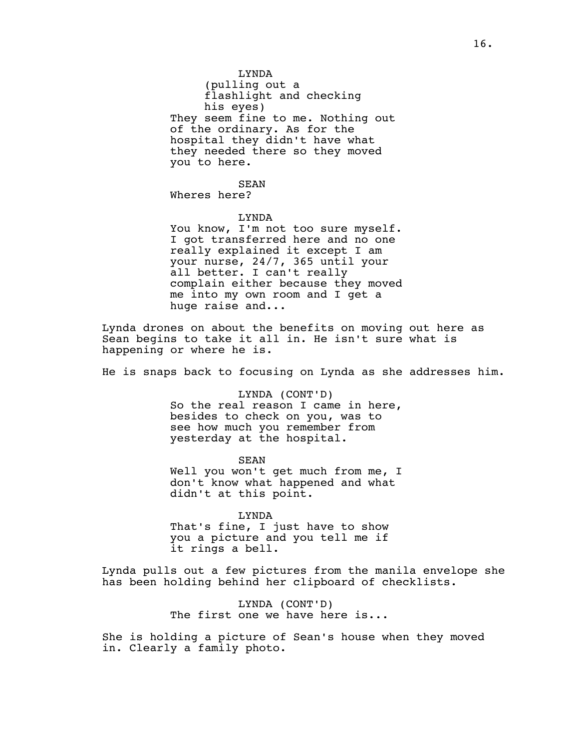LYNDA

(pulling out a flashlight and checking his eyes) They seem fine to me. Nothing out of the ordinary. As for the hospital they didn't have what they needed there so they moved you to here.

SEAN

Wheres here?

# LYNDA

You know, I'm not too sure myself. I got transferred here and no one really explained it except I am your nurse, 24/7, 365 until your all better. I can't really complain either because they moved me into my own room and I get a huge raise and...

Lynda drones on about the benefits on moving out here as Sean begins to take it all in. He isn't sure what is happening or where he is.

He is snaps back to focusing on Lynda as she addresses him.

LYNDA (CONT'D) So the real reason I came in here, besides to check on you, was to see how much you remember from yesterday at the hospital.

SEAN Well you won't get much from me, I don't know what happened and what didn't at this point.

LYNDA That's fine, I just have to show you a picture and you tell me if it rings a bell.

Lynda pulls out a few pictures from the manila envelope she has been holding behind her clipboard of checklists.

> LYNDA (CONT'D) The first one we have here is...

She is holding a picture of Sean's house when they moved in. Clearly a family photo.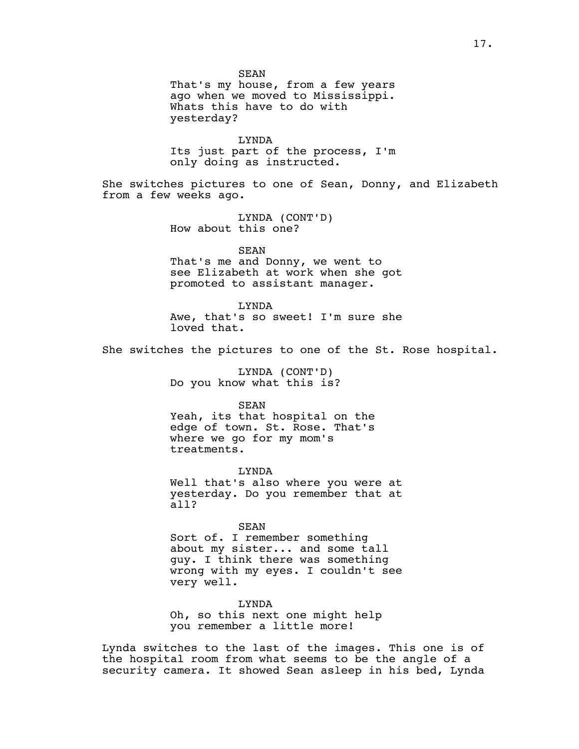SEAN

That's my house, from a few years ago when we moved to Mississippi. Whats this have to do with yesterday?

LYNDA

Its just part of the process, I'm only doing as instructed.

She switches pictures to one of Sean, Donny, and Elizabeth from a few weeks ago.

> LYNDA (CONT'D) How about this one?

> > SEAN

That's me and Donny, we went to see Elizabeth at work when she got promoted to assistant manager.

LYNDA

Awe, that's so sweet! I'm sure she loved that.

She switches the pictures to one of the St. Rose hospital.

LYNDA (CONT'D) Do you know what this is?

SEAN

Yeah, its that hospital on the edge of town. St. Rose. That's where we go for my mom's treatments.

LYNDA Well that's also where you were at yesterday. Do you remember that at all?

SEAN

Sort of. I remember something about my sister... and some tall guy. I think there was something wrong with my eyes. I couldn't see very well.

LYNDA Oh, so this next one might help you remember a little more!

Lynda switches to the last of the images. This one is of the hospital room from what seems to be the angle of a security camera. It showed Sean asleep in his bed, Lynda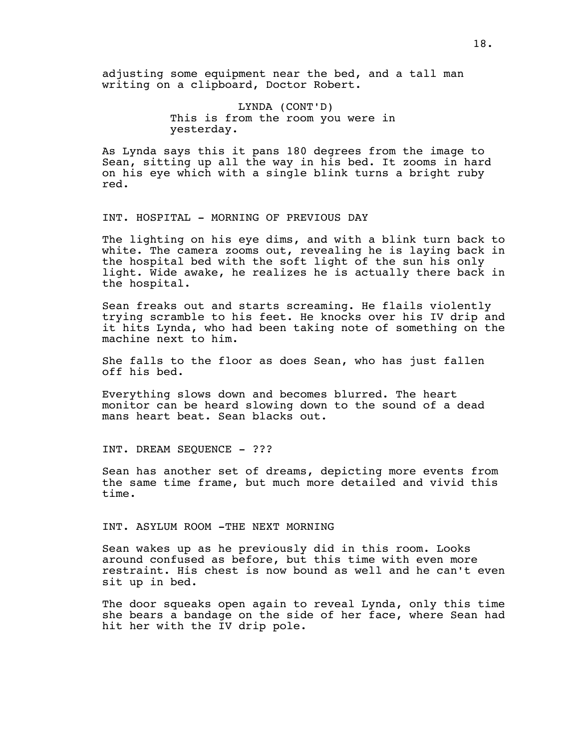adjusting some equipment near the bed, and a tall man writing on a clipboard, Doctor Robert.

# LYNDA (CONT'D) This is from the room you were in yesterday.

As Lynda says this it pans 180 degrees from the image to Sean, sitting up all the way in his bed. It zooms in hard on his eye which with a single blink turns a bright ruby red.

INT. HOSPITAL - MORNING OF PREVIOUS DAY

The lighting on his eye dims, and with a blink turn back to white. The camera zooms out, revealing he is laying back in the hospital bed with the soft light of the sun his only light. Wide awake, he realizes he is actually there back in the hospital.

Sean freaks out and starts screaming. He flails violently trying scramble to his feet. He knocks over his IV drip and it hits Lynda, who had been taking note of something on the machine next to him.

She falls to the floor as does Sean, who has just fallen off his bed.

Everything slows down and becomes blurred. The heart monitor can be heard slowing down to the sound of a dead mans heart beat. Sean blacks out.

INT. DREAM SEQUENCE - ???

Sean has another set of dreams, depicting more events from the same time frame, but much more detailed and vivid this time.

INT. ASYLUM ROOM -THE NEXT MORNING

Sean wakes up as he previously did in this room. Looks around confused as before, but this time with even more restraint. His chest is now bound as well and he can't even sit up in bed.

The door squeaks open again to reveal Lynda, only this time she bears a bandage on the side of her face, where Sean had hit her with the IV drip pole.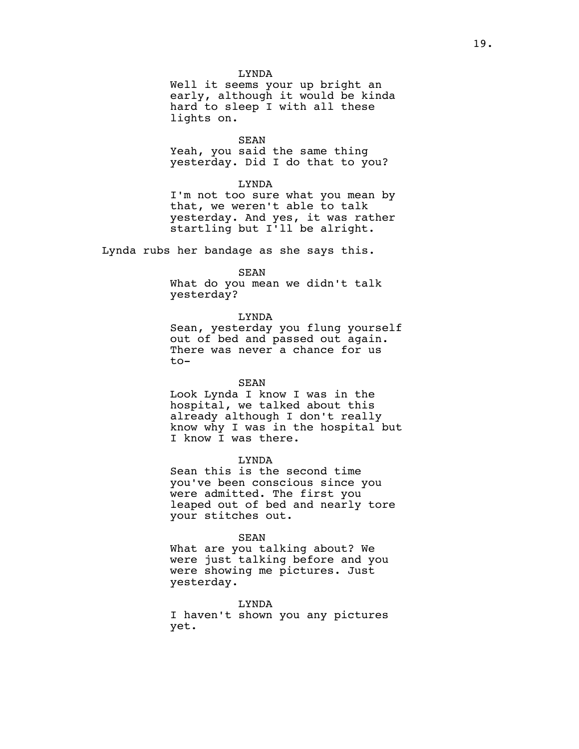### LYNDA

Well it seems your up bright an early, although it would be kinda hard to sleep I with all these lights on.

SEAN

Yeah, you said the same thing yesterday. Did I do that to you?

# LYNDA

I'm not too sure what you mean by that, we weren't able to talk yesterday. And yes, it was rather startling but I'll be alright.

Lynda rubs her bandage as she says this.

# SEAN

What do you mean we didn't talk yesterday?

## LYNDA

Sean, yesterday you flung yourself out of bed and passed out again. There was never a chance for us to-

## SEAN

Look Lynda I know I was in the hospital, we talked about this already although I don't really know why I was in the hospital but I know I was there.

# LYNDA

Sean this is the second time you've been conscious since you were admitted. The first you leaped out of bed and nearly tore your stitches out.

## SEAN

What are you talking about? We were just talking before and you were showing me pictures. Just yesterday.

# LYNDA

I haven't shown you any pictures yet.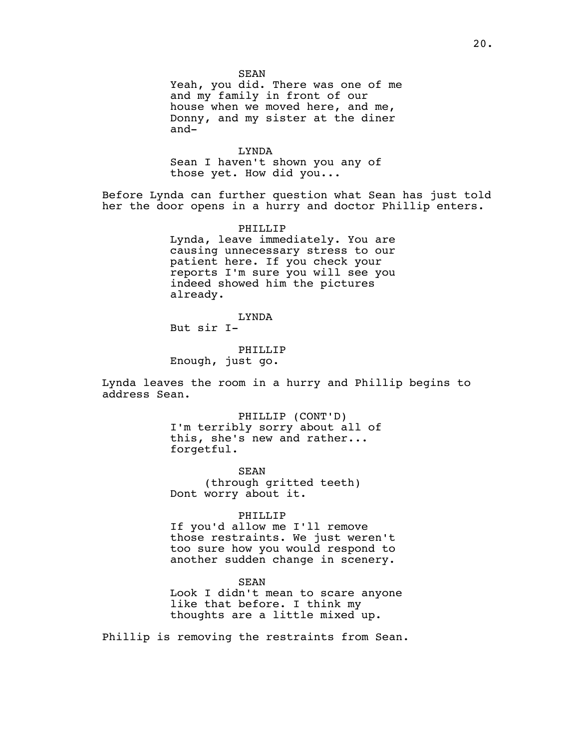Yeah, you did. There was one of me and my family in front of our house when we moved here, and me, Donny, and my sister at the diner and-

LYNDA Sean I haven't shown you any of those yet. How did you...

Before Lynda can further question what Sean has just told her the door opens in a hurry and doctor Phillip enters.

> PHILLIP Lynda, leave immediately. You are causing unnecessary stress to our patient here. If you check your reports I'm sure you will see you indeed showed him the pictures already.

## LYNDA

But sir I-

# PHILLIP Enough, just go.

Lynda leaves the room in a hurry and Phillip begins to address Sean.

> PHILLIP (CONT'D) I'm terribly sorry about all of this, she's new and rather... forgetful.

SEAN (through gritted teeth) Dont worry about it.

#### PHILLIP

If you'd allow me I'll remove those restraints. We just weren't too sure how you would respond to another sudden change in scenery.

SEAN

Look I didn't mean to scare anyone like that before. I think my thoughts are a little mixed up.

Phillip is removing the restraints from Sean.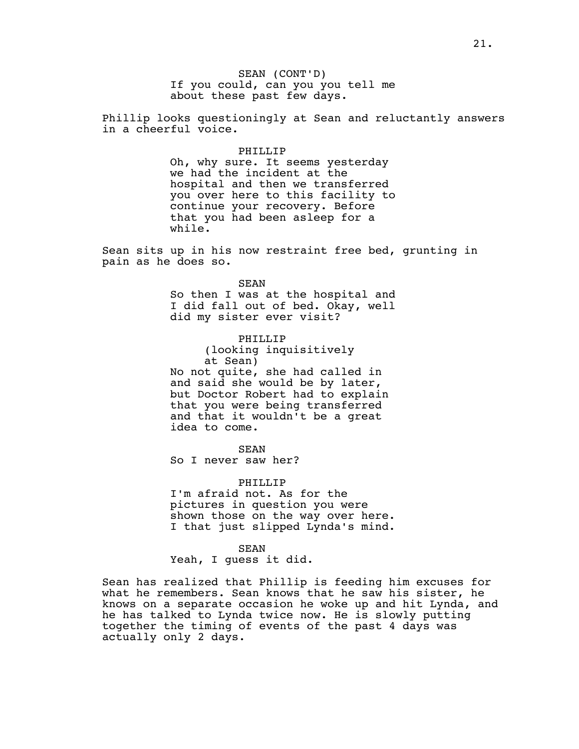SEAN (CONT'D) If you could, can you you tell me about these past few days.

Phillip looks questioningly at Sean and reluctantly answers in a cheerful voice.

## PHILLIP

Oh, why sure. It seems yesterday we had the incident at the hospital and then we transferred you over here to this facility to continue your recovery. Before that you had been asleep for a while.

Sean sits up in his now restraint free bed, grunting in pain as he does so.

> SEAN So then I was at the hospital and I did fall out of bed. Okay, well did my sister ever visit?

PHILLIP (looking inquisitively at Sean) No not quite, she had called in and said she would be by later, but Doctor Robert had to explain that you were being transferred and that it wouldn't be a great idea to come.

SEAN

So I never saw her?

# PHILLIP

I'm afraid not. As for the pictures in question you were shown those on the way over here. I that just slipped Lynda's mind.

SEAN Yeah, I guess it did.

Sean has realized that Phillip is feeding him excuses for what he remembers. Sean knows that he saw his sister, he knows on a separate occasion he woke up and hit Lynda, and he has talked to Lynda twice now. He is slowly putting together the timing of events of the past 4 days was actually only 2 days.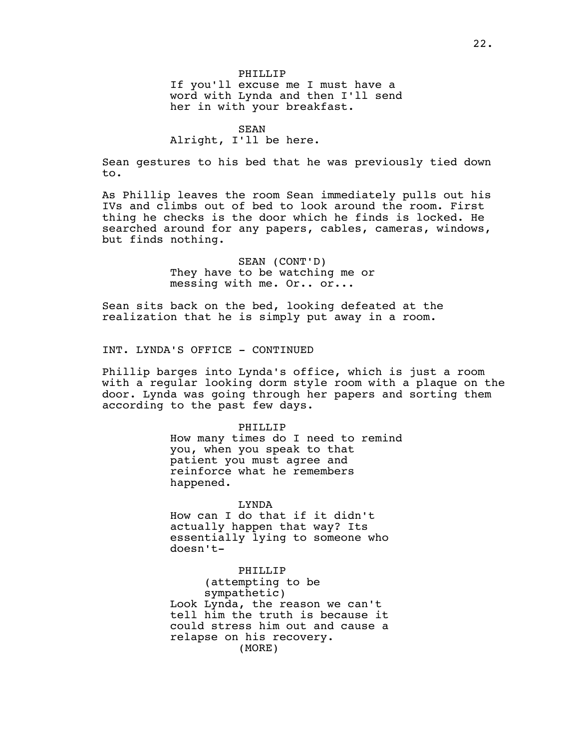#### SEAN

# Alright, I'll be here.

Sean gestures to his bed that he was previously tied down to.

As Phillip leaves the room Sean immediately pulls out his IVs and climbs out of bed to look around the room. First thing he checks is the door which he finds is locked. He searched around for any papers, cables, cameras, windows, but finds nothing.

> SEAN (CONT'D) They have to be watching me or messing with me. Or.. or...

Sean sits back on the bed, looking defeated at the realization that he is simply put away in a room.

INT. LYNDA'S OFFICE - CONTINUED

Phillip barges into Lynda's office, which is just a room with a regular looking dorm style room with a plaque on the door. Lynda was going through her papers and sorting them according to the past few days.

# PHILLIP

How many times do I need to remind you, when you speak to that patient you must agree and reinforce what he remembers happened.

#### LYNDA

How can I do that if it didn't actually happen that way? Its essentially lying to someone who doesn't-

## PHILLIP

(attempting to be sympathetic) Look Lynda, the reason we can't tell him the truth is because it could stress him out and cause a relapse on his recovery. (MORE)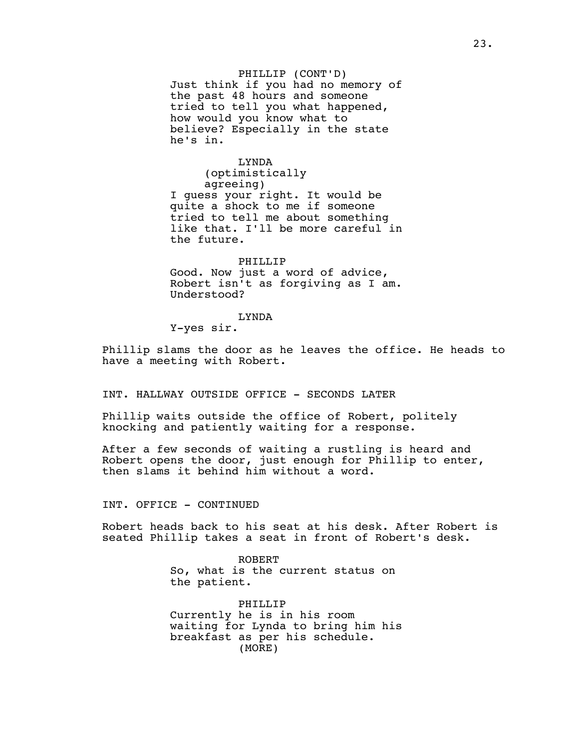PHILLIP (CONT'D) Just think if you had no memory of the past 48 hours and someone tried to tell you what happened, how would you know what to believe? Especially in the state he's in.

LYNDA (optimistically agreeing) I guess your right. It would be quite a shock to me if someone tried to tell me about something like that. I'll be more careful in the future.

PHILLIP Good. Now just a word of advice, Robert isn't as forgiving as I am. Understood?

#### LYNDA

Y-yes sir.

Phillip slams the door as he leaves the office. He heads to have a meeting with Robert.

INT. HALLWAY OUTSIDE OFFICE - SECONDS LATER

Phillip waits outside the office of Robert, politely knocking and patiently waiting for a response.

After a few seconds of waiting a rustling is heard and Robert opens the door, just enough for Phillip to enter, then slams it behind him without a word.

INT. OFFICE - CONTINUED

Robert heads back to his seat at his desk. After Robert is seated Phillip takes a seat in front of Robert's desk.

> ROBERT So, what is the current status on the patient.

PHILLIP Currently he is in his room waiting for Lynda to bring him his breakfast as per his schedule. (MORE)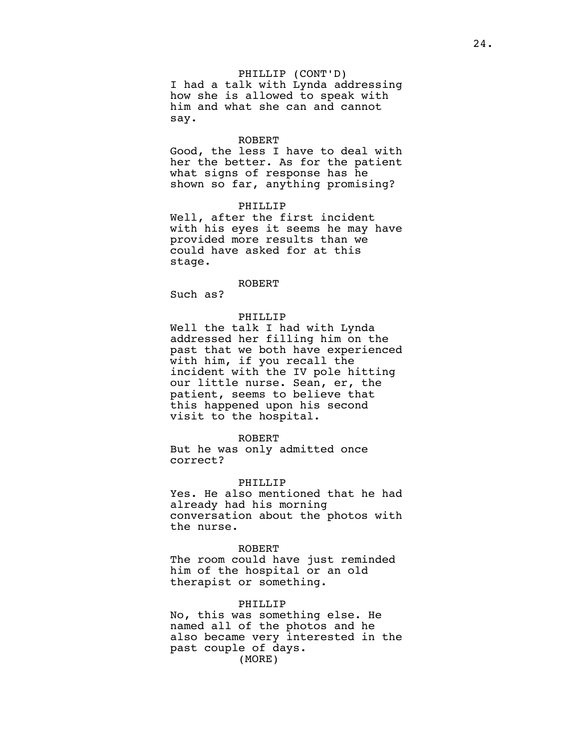PHILLIP (CONT'D) I had a talk with Lynda addressing how she is allowed to speak with him and what she can and cannot say.

#### ROBERT

Good, the less I have to deal with her the better. As for the patient what signs of response has he shown so far, anything promising?

#### PHILLIP

Well, after the first incident with his eyes it seems he may have provided more results than we could have asked for at this stage.

## ROBERT

Such as?

## PHILLIP

Well the talk I had with Lynda addressed her filling him on the past that we both have experienced with him, if you recall the incident with the IV pole hitting our little nurse. Sean, er, the patient, seems to believe that this happened upon his second visit to the hospital.

#### ROBERT

But he was only admitted once correct?

# PHILLIP

Yes. He also mentioned that he had already had his morning conversation about the photos with the nurse.

#### ROBERT

The room could have just reminded him of the hospital or an old therapist or something.

## PHILLIP

No, this was something else. He named all of the photos and he also became very interested in the past couple of days. (MORE)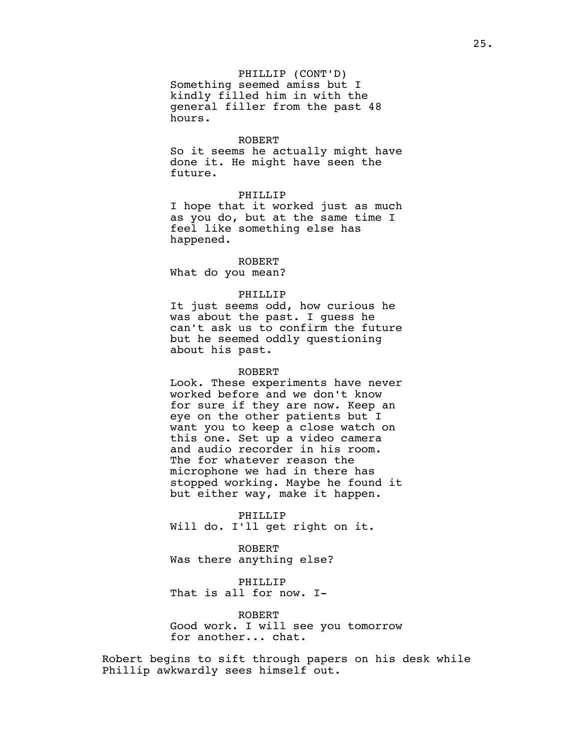# PHILLIP (CONT'D)

Something seemed amiss but I kindly filled him in with the general filler from the past 48 hours.

## ROBERT

So it seems he actually might have done it. He might have seen the future.

## PHILLIP

I hope that it worked just as much as you do, but at the same time I feel like something else has happened.

ROBERT What do you mean?

## PHILLIP

It just seems odd, how curious he was about the past. I guess he can't ask us to confirm the future but he seemed oddly questioning about his past.

## ROBERT

Look. These experiments have never worked before and we don't know for sure if they are now. Keep an eye on the other patients but I want you to keep a close watch on this one. Set up a video camera and audio recorder in his room. The for whatever reason the microphone we had in there has stopped working. Maybe he found it but either way, make it happen.

PHILLIP Will do. I'll get right on it.

ROBERT Was there anything else?

PHILLIP That is all for now. I-

ROBERT Good work. I will see you tomorrow for another... chat.

Robert begins to sift through papers on his desk while Phillip awkwardly sees himself out.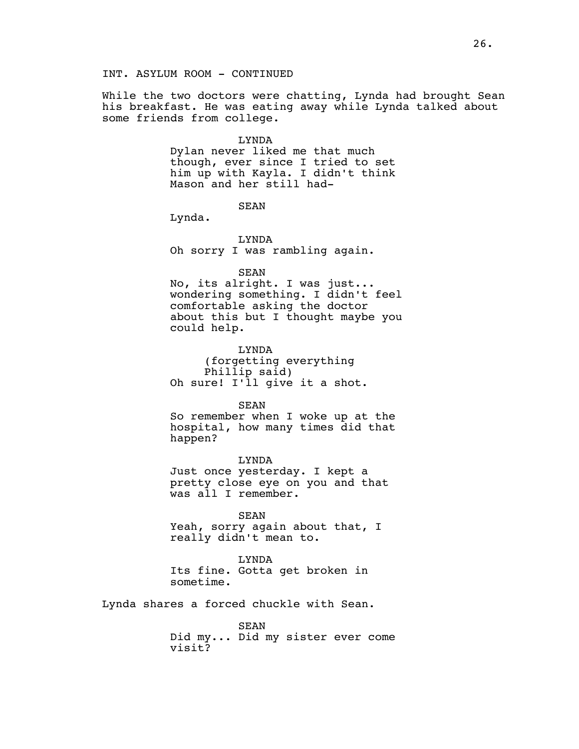While the two doctors were chatting, Lynda had brought Sean his breakfast. He was eating away while Lynda talked about some friends from college.

## LYNDA

Dylan never liked me that much though, ever since I tried to set him up with Kayla. I didn't think Mason and her still had-

SEAN

Lynda.

LYNDA Oh sorry I was rambling again.

SEAN

No, its alright. I was just... wondering something. I didn't feel comfortable asking the doctor about this but I thought maybe you could help.

LYNDA (forgetting everything Phillip said) Oh sure! I'll give it a shot.

SEAN

So remember when I woke up at the hospital, how many times did that happen?

LYNDA Just once yesterday. I kept a pretty close eye on you and that was all I remember.

SEAN

Yeah, sorry again about that, I really didn't mean to.

LYNDA Its fine. Gotta get broken in sometime.

Lynda shares a forced chuckle with Sean.

SEAN Did my... Did my sister ever come visit?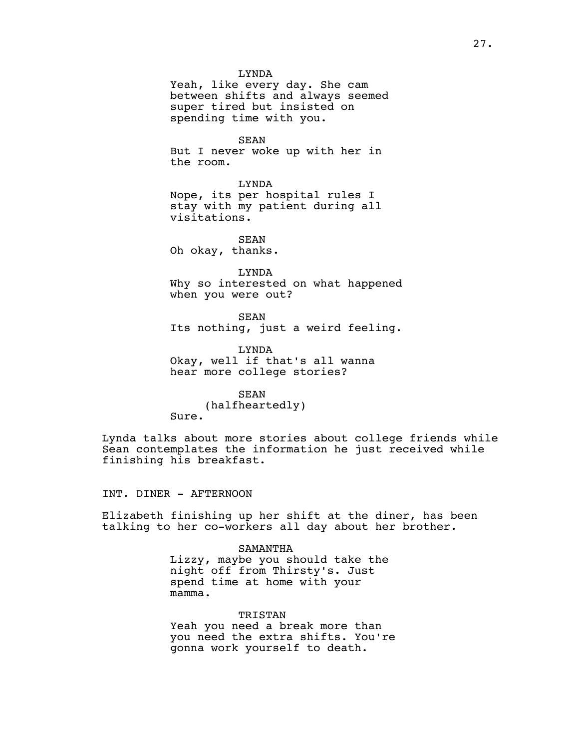#### LYNDA

Yeah, like every day. She cam between shifts and always seemed super tired but insisted on spending time with you.

SEAN But I never woke up with her in the room.

LYNDA Nope, its per hospital rules I stay with my patient during all visitations.

SEAN Oh okay, thanks.

LYNDA Why so interested on what happened when you were out?

SEAN Its nothing, just a weird feeling.

LYNDA Okay, well if that's all wanna hear more college stories?

SEAN (halfheartedly) Sure.

Lynda talks about more stories about college friends while Sean contemplates the information he just received while finishing his breakfast.

INT. DINER - AFTERNOON

Elizabeth finishing up her shift at the diner, has been talking to her co-workers all day about her brother.

> SAMANTHA Lizzy, maybe you should take the night off from Thirsty's. Just spend time at home with your mamma.

TRISTAN Yeah you need a break more than you need the extra shifts. You're gonna work yourself to death.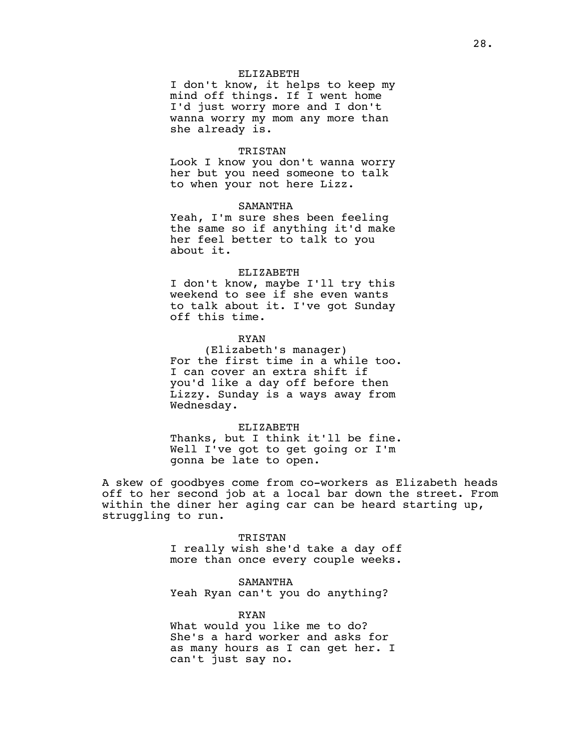## ELIZABETH

I don't know, it helps to keep my mind off things. If I went home I'd just worry more and I don't wanna worry my mom any more than she already is.

# TRISTAN

Look I know you don't wanna worry her but you need someone to talk to when your not here Lizz.

#### SAMANTHA

Yeah, I'm sure shes been feeling the same so if anything it'd make her feel better to talk to you about it.

#### ELIZABETH

I don't know, maybe I'll try this weekend to see if she even wants to talk about it. I've got Sunday off this time.

## RYAN

(Elizabeth's manager) For the first time in a while too. I can cover an extra shift if you'd like a day off before then Lizzy. Sunday is a ways away from Wednesday.

ELIZABETH Thanks, but I think it'll be fine. Well I've got to get going or I'm gonna be late to open.

A skew of goodbyes come from co-workers as Elizabeth heads off to her second job at a local bar down the street. From within the diner her aging car can be heard starting up, struggling to run.

> TRISTAN I really wish she'd take a day off more than once every couple weeks.

SAMANTHA Yeah Ryan can't you do anything?

RYAN What would you like me to do? She's a hard worker and asks for as many hours as I can get her. I can't just say no.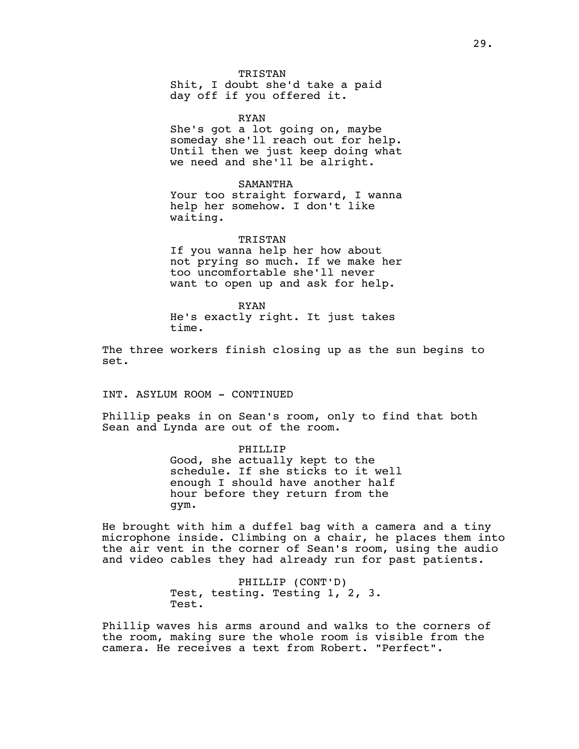TRISTAN

Shit, I doubt she'd take a paid day off if you offered it.

RYAN She's got a lot going on, maybe someday she'll reach out for help. Until then we just keep doing what we need and she'll be alright.

SAMANTHA Your too straight forward, I wanna help her somehow. I don't like waiting.

TRISTAN If you wanna help her how about not prying so much. If we make her too uncomfortable she'll never want to open up and ask for help.

RYAN He's exactly right. It just takes time.

The three workers finish closing up as the sun begins to set.

INT. ASYLUM ROOM - CONTINUED

Phillip peaks in on Sean's room, only to find that both Sean and Lynda are out of the room.

> PHILLIP Good, she actually kept to the schedule. If she sticks to it well enough I should have another half hour before they return from the gym.

He brought with him a duffel bag with a camera and a tiny microphone inside. Climbing on a chair, he places them into the air vent in the corner of Sean's room, using the audio and video cables they had already run for past patients.

> PHILLIP (CONT'D) Test, testing. Testing 1, 2, 3. Test.

Phillip waves his arms around and walks to the corners of the room, making sure the whole room is visible from the camera. He receives a text from Robert. "Perfect".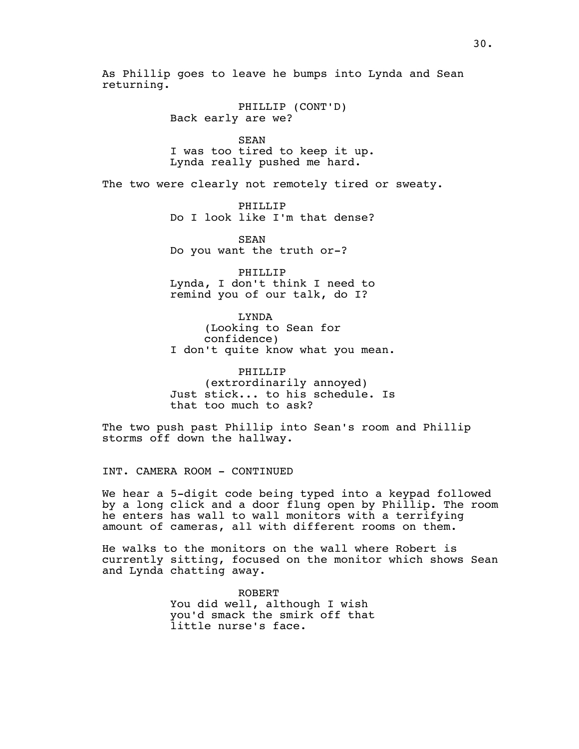As Phillip goes to leave he bumps into Lynda and Sean returning.

> PHILLIP (CONT'D) Back early are we?

SEAN I was too tired to keep it up. Lynda really pushed me hard.

The two were clearly not remotely tired or sweaty.

PHILLIP Do I look like I'm that dense?

SEAN Do you want the truth or-?

PHILLIP Lynda, I don't think I need to remind you of our talk, do I?

LYNDA (Looking to Sean for confidence) I don't quite know what you mean.

PHILLIP (extrordinarily annoyed) Just stick... to his schedule. Is that too much to ask?

The two push past Phillip into Sean's room and Phillip storms off down the hallway.

INT. CAMERA ROOM - CONTINUED

We hear a 5-digit code being typed into a keypad followed by a long click and a door flung open by Phillip. The room he enters has wall to wall monitors with a terrifying amount of cameras, all with different rooms on them.

He walks to the monitors on the wall where Robert is currently sitting, focused on the monitor which shows Sean and Lynda chatting away.

> ROBERT You did well, although I wish you'd smack the smirk off that little nurse's face.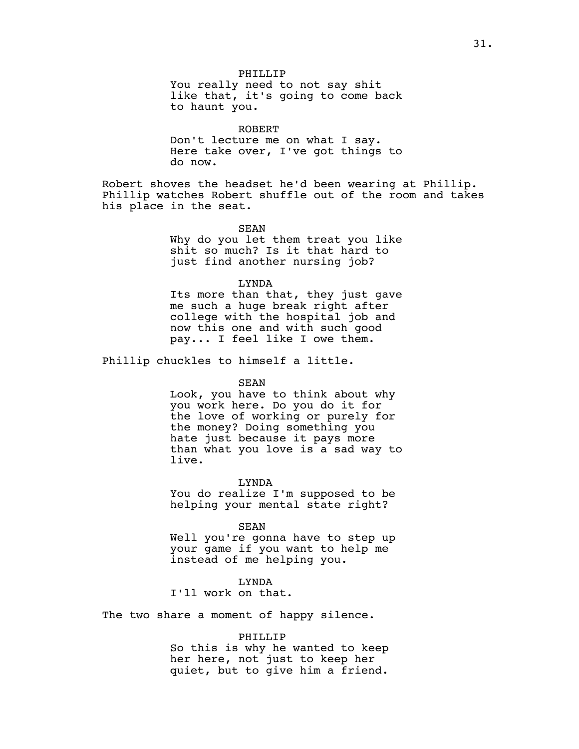PHILLIP You really need to not say shit like that, it's going to come back to haunt you.

ROBERT Don't lecture me on what I say. Here take over, I've got things to do now.

Robert shoves the headset he'd been wearing at Phillip. Phillip watches Robert shuffle out of the room and takes his place in the seat.

> SEAN Why do you let them treat you like shit so much? Is it that hard to just find another nursing job?

> LYNDA Its more than that, they just gave me such a huge break right after college with the hospital job and now this one and with such good pay... I feel like I owe them.

Phillip chuckles to himself a little.

## SEAN

Look, you have to think about why you work here. Do you do it for the love of working or purely for the money? Doing something you hate just because it pays more than what you love is a sad way to live.

LYNDA

You do realize I'm supposed to be helping your mental state right?

SEAN

Well you're gonna have to step up your game if you want to help me instead of me helping you.

LYNDA

I'll work on that.

The two share a moment of happy silence.

### PHILLIP

So this is why he wanted to keep her here, not just to keep her quiet, but to give him a friend.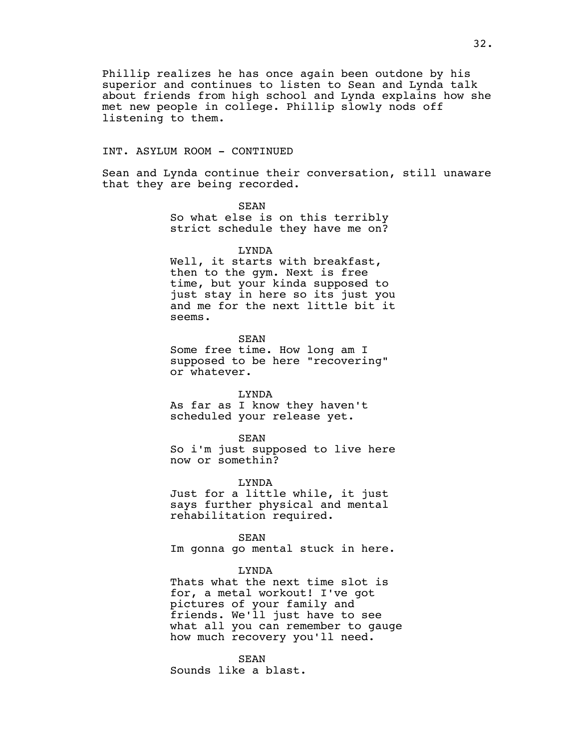Phillip realizes he has once again been outdone by his superior and continues to listen to Sean and Lynda talk about friends from high school and Lynda explains how she met new people in college. Phillip slowly nods off listening to them.

# INT. ASYLUM ROOM - CONTINUED

Sean and Lynda continue their conversation, still unaware that they are being recorded.

> SEAN So what else is on this terribly strict schedule they have me on?

> > LYNDA

Well, it starts with breakfast, then to the gym. Next is free time, but your kinda supposed to just stay in here so its just you and me for the next little bit it seems.

SEAN Some free time. How long am I supposed to be here "recovering" or whatever.

LYNDA

As far as I know they haven't scheduled your release yet.

SEAN So i'm just supposed to live here now or somethin?

LYNDA

Just for a little while, it just says further physical and mental rehabilitation required.

SEAN Im gonna go mental stuck in here.

LYNDA

Thats what the next time slot is for, a metal workout! I've got pictures of your family and friends. We'll just have to see what all you can remember to gauge how much recovery you'll need.

SEAN Sounds like a blast.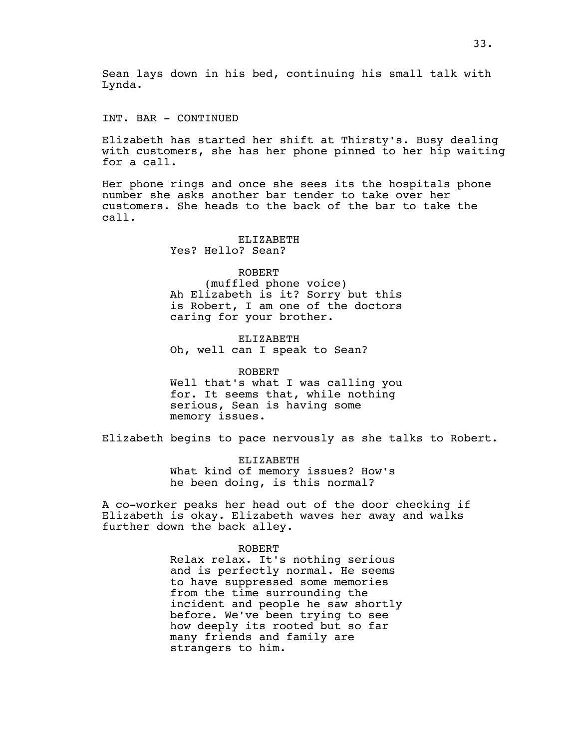Sean lays down in his bed, continuing his small talk with Lynda.

INT. BAR - CONTINUED

Elizabeth has started her shift at Thirsty's. Busy dealing with customers, she has her phone pinned to her hip waiting for a call.

Her phone rings and once she sees its the hospitals phone number she asks another bar tender to take over her customers. She heads to the back of the bar to take the call.

> ELIZABETH Yes? Hello? Sean?

ROBERT (muffled phone voice) Ah Elizabeth is it? Sorry but this is Robert, I am one of the doctors caring for your brother.

ELIZABETH Oh, well can I speak to Sean?

ROBERT Well that's what I was calling you for. It seems that, while nothing serious, Sean is having some memory issues.

Elizabeth begins to pace nervously as she talks to Robert.

ELIZABETH What kind of memory issues? How's he been doing, is this normal?

A co-worker peaks her head out of the door checking if Elizabeth is okay. Elizabeth waves her away and walks further down the back alley.

#### ROBERT

Relax relax. It's nothing serious and is perfectly normal. He seems to have suppressed some memories from the time surrounding the incident and people he saw shortly before. We've been trying to see how deeply its rooted but so far many friends and family are strangers to him.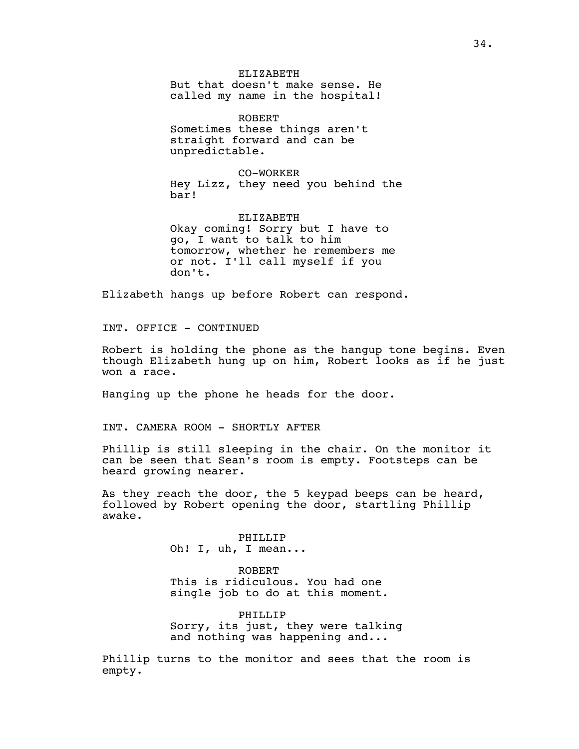ELIZABETH But that doesn't make sense. He called my name in the hospital!

ROBERT Sometimes these things aren't straight forward and can be unpredictable.

CO-WORKER Hey Lizz, they need you behind the bar!

ELIZABETH Okay coming! Sorry but I have to go, I want to talk to him tomorrow, whether he remembers me or not. I'll call myself if you don't.

Elizabeth hangs up before Robert can respond.

INT. OFFICE - CONTINUED

Robert is holding the phone as the hangup tone begins. Even though Elizabeth hung up on him, Robert looks as if he just won a race.

Hanging up the phone he heads for the door.

INT. CAMERA ROOM - SHORTLY AFTER

Phillip is still sleeping in the chair. On the monitor it can be seen that Sean's room is empty. Footsteps can be heard growing nearer.

As they reach the door, the 5 keypad beeps can be heard, followed by Robert opening the door, startling Phillip awake.

> PHILLIP Oh! I, uh, I mean...

ROBERT This is ridiculous. You had one single job to do at this moment.

PHILLIP Sorry, its just, they were talking and nothing was happening and...

Phillip turns to the monitor and sees that the room is empty.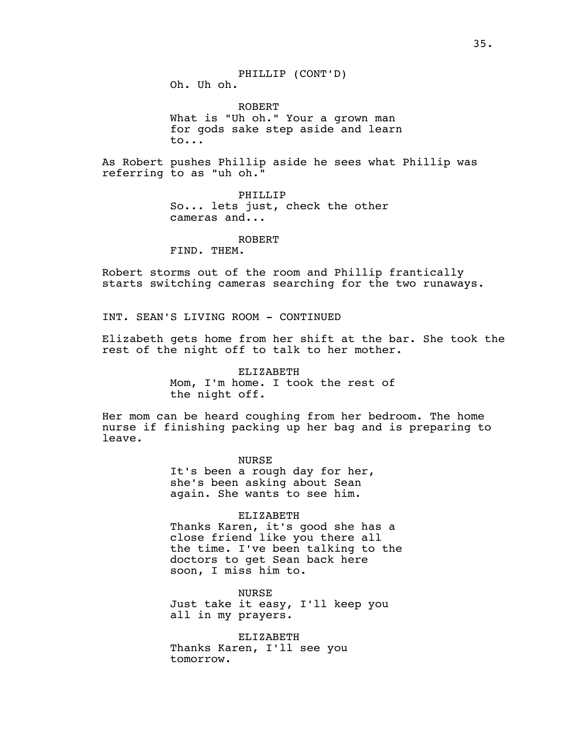Oh. Uh oh.

ROBERT What is "Uh oh." Your a grown man for gods sake step aside and learn to...

As Robert pushes Phillip aside he sees what Phillip was referring to as "uh oh."

> PHILLIP So... lets just, check the other cameras and...

> > ROBERT

FIND. THEM.

Robert storms out of the room and Phillip frantically starts switching cameras searching for the two runaways.

INT. SEAN'S LIVING ROOM - CONTINUED

Elizabeth gets home from her shift at the bar. She took the rest of the night off to talk to her mother.

> ELIZABETH Mom, I'm home. I took the rest of the night off.

Her mom can be heard coughing from her bedroom. The home nurse if finishing packing up her bag and is preparing to leave.

> NURSE It's been a rough day for her, she's been asking about Sean again. She wants to see him.

> > ELIZABETH

Thanks Karen, it's good she has a close friend like you there all the time. I've been talking to the doctors to get Sean back here soon, I miss him to.

NURSE Just take it easy, I'll keep you all in my prayers.

ELIZABETH Thanks Karen, I'll see you tomorrow.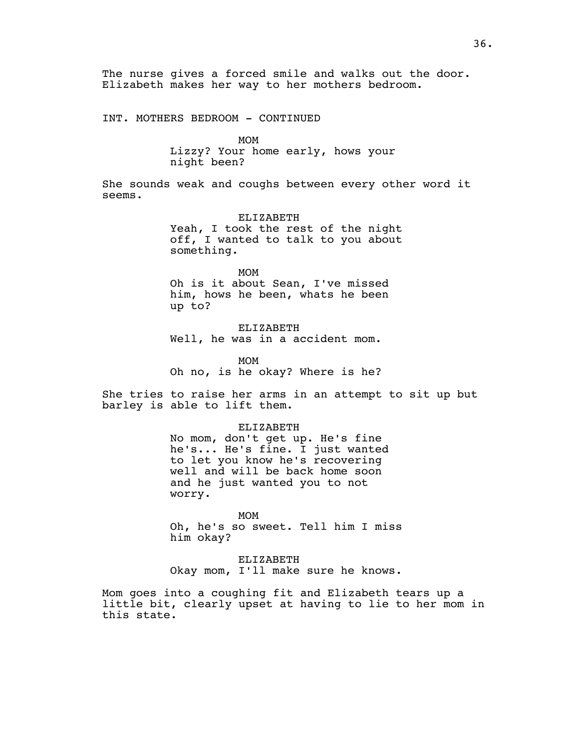The nurse gives a forced smile and walks out the door. Elizabeth makes her way to her mothers bedroom.

INT. MOTHERS BEDROOM - CONTINUED

MOM

Lizzy? Your home early, hows your night been?

She sounds weak and coughs between every other word it seems.

> ELIZABETH Yeah, I took the rest of the night off, I wanted to talk to you about something.

MOM Oh is it about Sean, I've missed him, hows he been, whats he been up to?

ELIZABETH Well, he was in a accident mom.

MOM Oh no, is he okay? Where is he?

She tries to raise her arms in an attempt to sit up but barley is able to lift them.

> ELIZABETH No mom, don't get up. He's fine he's... He's fine. I just wanted to let you know he's recovering well and will be back home soon and he just wanted you to not worry.

MOM Oh, he's so sweet. Tell him I miss him okay?

ELIZABETH Okay mom, I'll make sure he knows.

Mom goes into a coughing fit and Elizabeth tears up a little bit, clearly upset at having to lie to her mom in this state.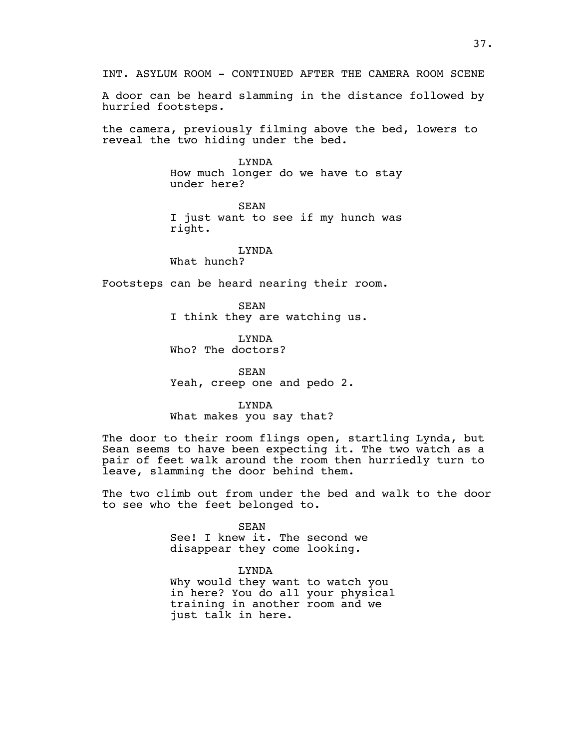INT. ASYLUM ROOM - CONTINUED AFTER THE CAMERA ROOM SCENE A door can be heard slamming in the distance followed by hurried footsteps. the camera, previously filming above the bed, lowers to reveal the two hiding under the bed. LYNDA How much longer do we have to stay under here? SEAN I just want to see if my hunch was right. LYNDA What hunch? Footsteps can be heard nearing their room. SEAN I think they are watching us. LYNDA Who? The doctors? **SEAN** Yeah, creep one and pedo 2. LYNDA What makes you say that? The door to their room flings open, startling Lynda, but Sean seems to have been expecting it. The two watch as a pair of feet walk around the room then hurriedly turn to

The two climb out from under the bed and walk to the door to see who the feet belonged to.

> SEAN See! I knew it. The second we disappear they come looking.

leave, slamming the door behind them.

LYNDA Why would they want to watch you in here? You do all your physical training in another room and we just talk in here.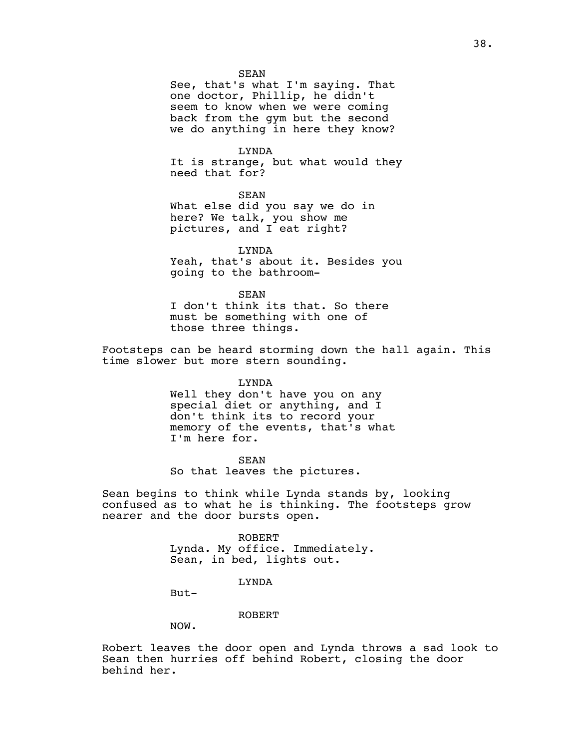SEAN

See, that's what I'm saying. That one doctor, Phillip, he didn't seem to know when we were coming back from the gym but the second we do anything in here they know?

LYNDA It is strange, but what would they need that for?

SEAN What else did you say we do in here? We talk, you show me pictures, and I eat right?

LYNDA Yeah, that's about it. Besides you going to the bathroom-

SEAN I don't think its that. So there must be something with one of those three things.

Footsteps can be heard storming down the hall again. This time slower but more stern sounding.

> LYNDA Well they don't have you on any special diet or anything, and I don't think its to record your memory of the events, that's what I'm here for.

SEAN So that leaves the pictures.

Sean begins to think while Lynda stands by, looking confused as to what he is thinking. The footsteps grow nearer and the door bursts open.

> ROBERT Lynda. My office. Immediately. Sean, in bed, lights out.

> > LYNDA

But-

ROBERT

NOW.

Robert leaves the door open and Lynda throws a sad look to Sean then hurries off behind Robert, closing the door behind her.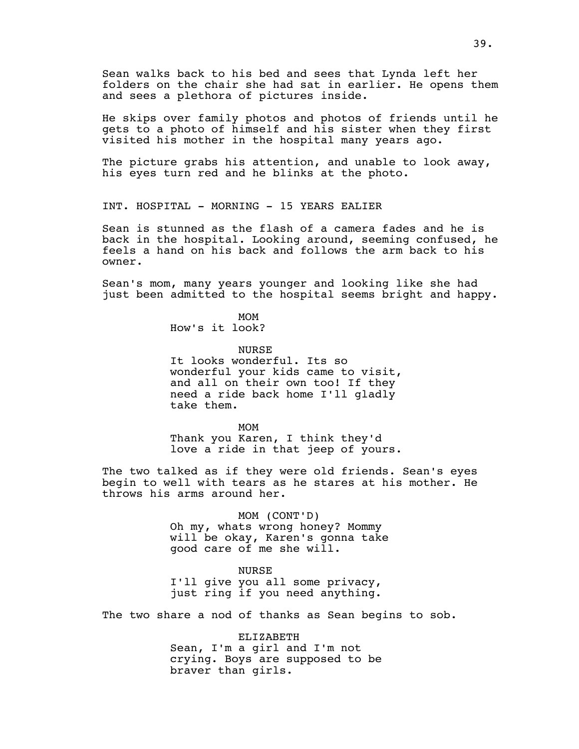Sean walks back to his bed and sees that Lynda left her folders on the chair she had sat in earlier. He opens them and sees a plethora of pictures inside.

He skips over family photos and photos of friends until he gets to a photo of himself and his sister when they first visited his mother in the hospital many years ago.

The picture grabs his attention, and unable to look away, his eyes turn red and he blinks at the photo.

INT. HOSPITAL - MORNING - 15 YEARS EALIER

Sean is stunned as the flash of a camera fades and he is back in the hospital. Looking around, seeming confused, he feels a hand on his back and follows the arm back to his owner.

Sean's mom, many years younger and looking like she had just been admitted to the hospital seems bright and happy.

> MOM How's it look?

> > NURSE

It looks wonderful. Its so wonderful your kids came to visit, and all on their own too! If they need a ride back home I'll gladly take them.

MOM Thank you Karen, I think they'd love a ride in that jeep of yours.

The two talked as if they were old friends. Sean's eyes begin to well with tears as he stares at his mother. He throws his arms around her.

> MOM (CONT'D) Oh my, whats wrong honey? Mommy will be okay, Karen's gonna take good care of me she will.

NURSE I'll give you all some privacy, just ring if you need anything.

The two share a nod of thanks as Sean begins to sob.

ELIZABETH Sean, I'm a girl and I'm not crying. Boys are supposed to be braver than girls.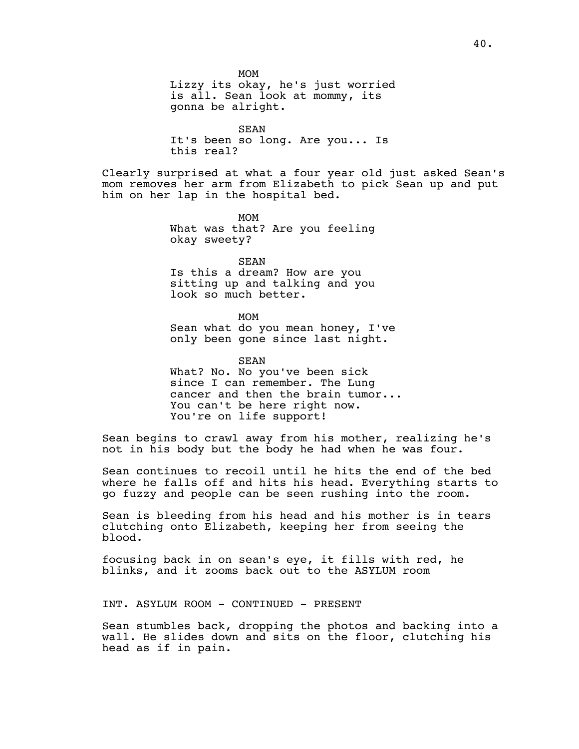SEAN It's been so long. Are you... Is this real?

Clearly surprised at what a four year old just asked Sean's mom removes her arm from Elizabeth to pick Sean up and put him on her lap in the hospital bed.

> MOM What was that? Are you feeling okay sweety?

SEAN Is this a dream? How are you sitting up and talking and you look so much better.

MOM Sean what do you mean honey, I've only been gone since last night.

SEAN What? No. No you've been sick since I can remember. The Lung cancer and then the brain tumor... You can't be here right now. You're on life support!

Sean begins to crawl away from his mother, realizing he's not in his body but the body he had when he was four.

Sean continues to recoil until he hits the end of the bed where he falls off and hits his head. Everything starts to go fuzzy and people can be seen rushing into the room.

Sean is bleeding from his head and his mother is in tears clutching onto Elizabeth, keeping her from seeing the blood.

focusing back in on sean's eye, it fills with red, he blinks, and it zooms back out to the ASYLUM room

INT. ASYLUM ROOM - CONTINUED - PRESENT

Sean stumbles back, dropping the photos and backing into a wall. He slides down and sits on the floor, clutching his head as if in pain.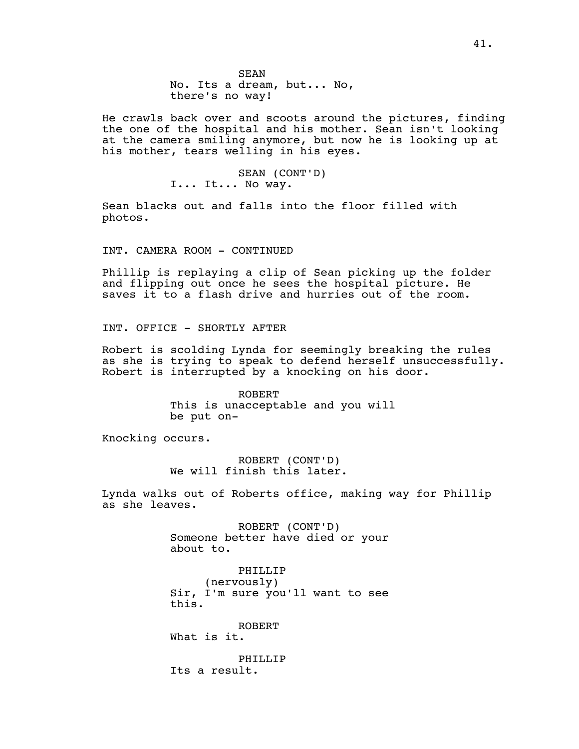He crawls back over and scoots around the pictures, finding the one of the hospital and his mother. Sean isn't looking at the camera smiling anymore, but now he is looking up at his mother, tears welling in his eyes.

> SEAN (CONT'D) I... It... No way.

Sean blacks out and falls into the floor filled with photos.

INT. CAMERA ROOM - CONTINUED

Phillip is replaying a clip of Sean picking up the folder and flipping out once he sees the hospital picture. He saves it to a flash drive and hurries out of the room.

INT. OFFICE - SHORTLY AFTER

Robert is scolding Lynda for seemingly breaking the rules as she is trying to speak to defend herself unsuccessfully. Robert is interrupted by a knocking on his door.

> ROBERT This is unacceptable and you will be put on-

Knocking occurs.

ROBERT (CONT'D) We will finish this later.

Lynda walks out of Roberts office, making way for Phillip as she leaves.

> ROBERT (CONT'D) Someone better have died or your about to.

> PHILLIP (nervously) Sir, I'm sure you'll want to see this.

ROBERT What is it.

PHILLIP Its a result.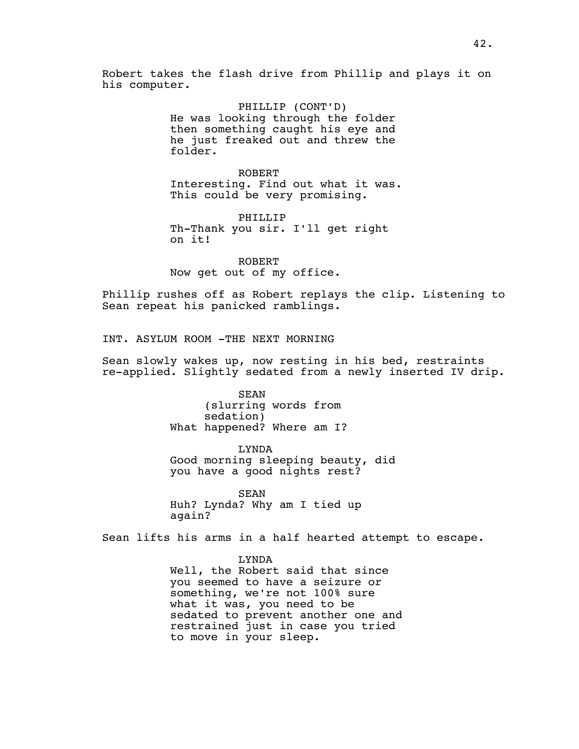Robert takes the flash drive from Phillip and plays it on his computer.

> PHILLIP (CONT'D) He was looking through the folder then something caught his eye and he just freaked out and threw the folder.

ROBERT Interesting. Find out what it was. This could be very promising.

PHILLIP Th-Thank you sir. I'll get right on it!

ROBERT Now get out of my office.

Phillip rushes off as Robert replays the clip. Listening to Sean repeat his panicked ramblings.

INT. ASYLUM ROOM -THE NEXT MORNING

Sean slowly wakes up, now resting in his bed, restraints re-applied. Slightly sedated from a newly inserted IV drip.

> SEAN (slurring words from sedation) What happened? Where am I?

LYNDA Good morning sleeping beauty, did you have a good nights rest?

SEAN Huh? Lynda? Why am I tied up again?

Sean lifts his arms in a half hearted attempt to escape.

LYNDA Well, the Robert said that since you seemed to have a seizure or something, we're not 100% sure what it was, you need to be sedated to prevent another one and restrained just in case you tried to move in your sleep.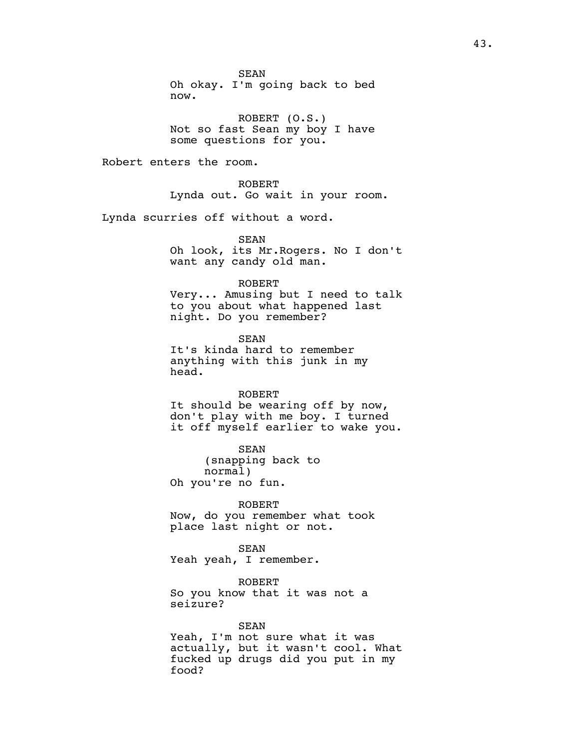SEAN Oh okay. I'm going back to bed now.

ROBERT (O.S.) Not so fast Sean my boy I have some questions for you.

Robert enters the room.

ROBERT Lynda out. Go wait in your room.

Lynda scurries off without a word.

SEAN Oh look, its Mr.Rogers. No I don't want any candy old man.

ROBERT

Very... Amusing but I need to talk to you about what happened last night. Do you remember?

SEAN It's kinda hard to remember anything with this junk in my head.

#### ROBERT

It should be wearing off by now, don't play with me boy. I turned it off myself earlier to wake you.

SEAN (snapping back to normal) Oh you're no fun.

ROBERT Now, do you remember what took place last night or not.

SEAN Yeah yeah, I remember.

ROBERT So you know that it was not a seizure?

## SEAN

Yeah, I'm not sure what it was actually, but it wasn't cool. What fucked up drugs did you put in my food?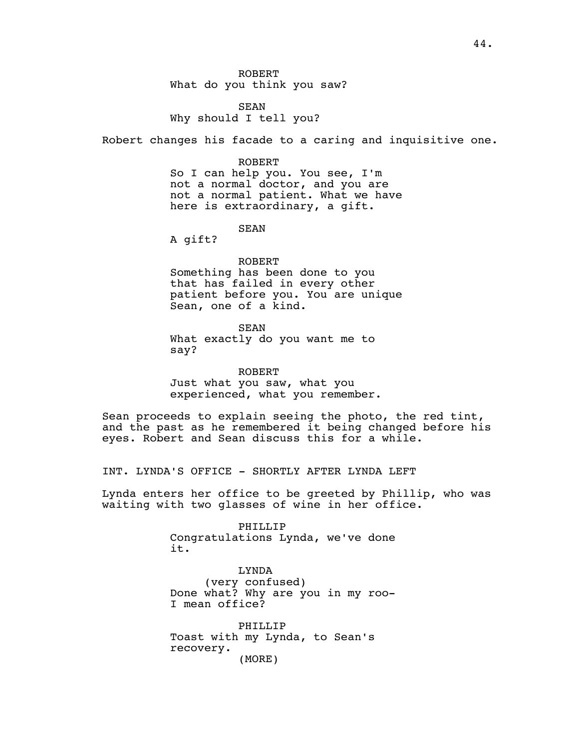ROBERT What do you think you saw?

SEAN Why should I tell you?

Robert changes his facade to a caring and inquisitive one.

ROBERT

So I can help you. You see, I'm not a normal doctor, and you are not a normal patient. What we have here is extraordinary, a gift.

SEAN

A gift?

ROBERT Something has been done to you that has failed in every other patient before you. You are unique Sean, one of a kind.

SEAN What exactly do you want me to say?

ROBERT Just what you saw, what you experienced, what you remember.

Sean proceeds to explain seeing the photo, the red tint, and the past as he remembered it being changed before his eyes. Robert and Sean discuss this for a while.

INT. LYNDA'S OFFICE - SHORTLY AFTER LYNDA LEFT

Lynda enters her office to be greeted by Phillip, who was waiting with two glasses of wine in her office.

> PHILLIP Congratulations Lynda, we've done it.

> LYNDA (very confused) Done what? Why are you in my roo-I mean office?

PHILLIP Toast with my Lynda, to Sean's recovery. (MORE)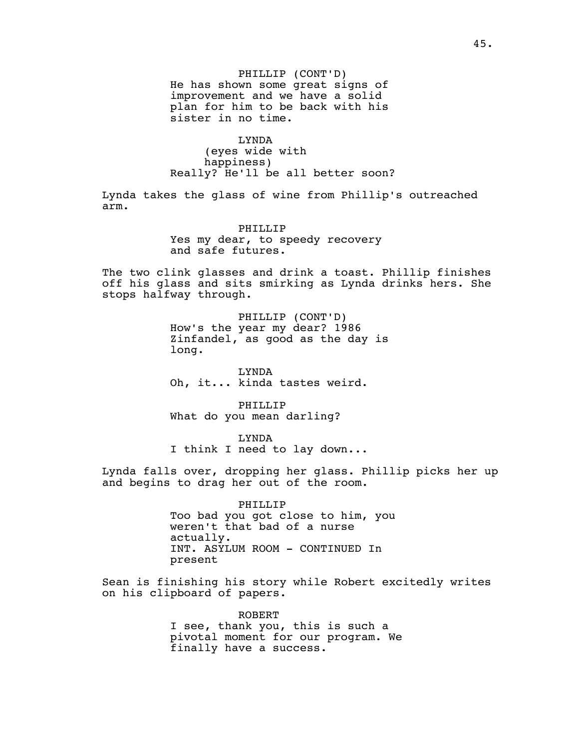PHILLIP (CONT'D) He has shown some great signs of improvement and we have a solid plan for him to be back with his sister in no time.

LYNDA (eyes wide with happiness) Really? He'll be all better soon?

Lynda takes the glass of wine from Phillip's outreached arm.

> PHILLIP Yes my dear, to speedy recovery and safe futures.

The two clink glasses and drink a toast. Phillip finishes off his glass and sits smirking as Lynda drinks hers. She stops halfway through.

> PHILLIP (CONT'D) How's the year my dear? 1986 Zinfandel, as good as the day is long.

LYNDA Oh, it... kinda tastes weird.

PHILLIP What do you mean darling?

LYNDA I think I need to lay down...

Lynda falls over, dropping her glass. Phillip picks her up and begins to drag her out of the room.

> PHILLIP Too bad you got close to him, you weren't that bad of a nurse actually. INT. ASYLUM ROOM - CONTINUED In present

Sean is finishing his story while Robert excitedly writes on his clipboard of papers.

> ROBERT I see, thank you, this is such a pivotal moment for our program. We finally have a success.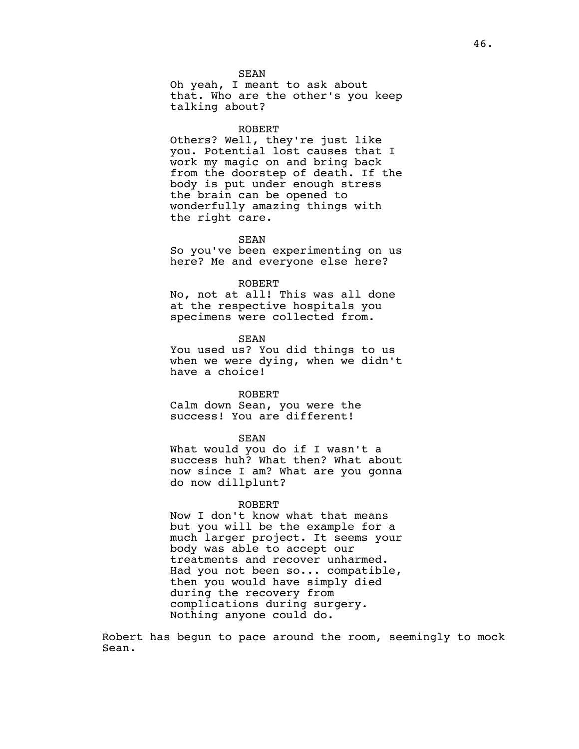SEAN Oh yeah, I meant to ask about that. Who are the other's you keep talking about?

#### ROBERT

Others? Well, they're just like you. Potential lost causes that I work my magic on and bring back from the doorstep of death. If the body is put under enough stress the brain can be opened to wonderfully amazing things with the right care.

#### SEAN

So you've been experimenting on us here? Me and everyone else here?

#### ROBERT

No, not at all! This was all done at the respective hospitals you specimens were collected from.

SEAN

You used us? You did things to us when we were dying, when we didn't have a choice!

#### ROBERT

Calm down Sean, you were the success! You are different!

#### SEAN

What would you do if I wasn't a success huh? What then? What about now since I am? What are you gonna do now dillplunt?

## ROBERT

Now I don't know what that means but you will be the example for a much larger project. It seems your body was able to accept our treatments and recover unharmed. Had you not been so... compatible, then you would have simply died during the recovery from complications during surgery. Nothing anyone could do.

Robert has begun to pace around the room, seemingly to mock Sean.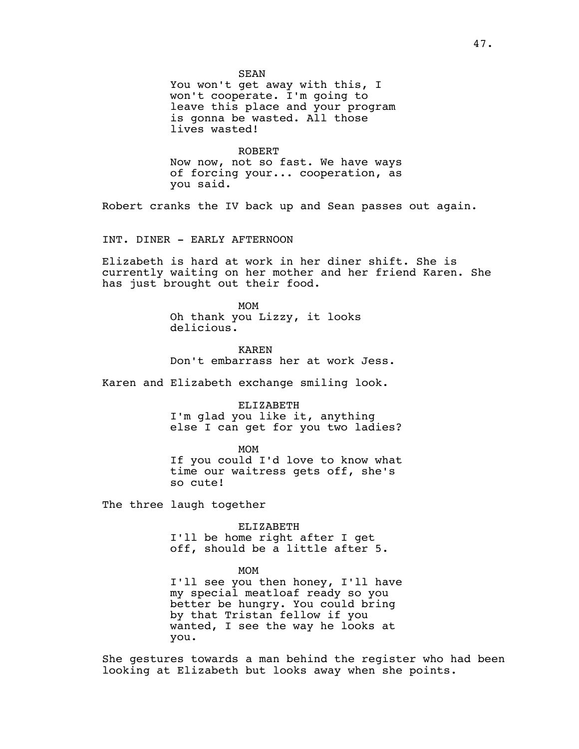SEAN

You won't get away with this, I won't cooperate. I'm going to leave this place and your program is gonna be wasted. All those lives wasted!

ROBERT Now now, not so fast. We have ways of forcing your... cooperation, as you said.

Robert cranks the IV back up and Sean passes out again.

INT. DINER - EARLY AFTERNOON

Elizabeth is hard at work in her diner shift. She is currently waiting on her mother and her friend Karen. She has just brought out their food.

> MOM Oh thank you Lizzy, it looks delicious.

KAREN Don't embarrass her at work Jess.

Karen and Elizabeth exchange smiling look.

ELIZABETH

I'm glad you like it, anything else I can get for you two ladies?

MOM

If you could I'd love to know what time our waitress gets off, she's so cute!

The three laugh together

ELIZABETH I'll be home right after I get off, should be a little after 5.

MOM

I'll see you then honey, I'll have my special meatloaf ready so you better be hungry. You could bring by that Tristan fellow if you wanted, I see the way he looks at you.

She gestures towards a man behind the register who had been looking at Elizabeth but looks away when she points.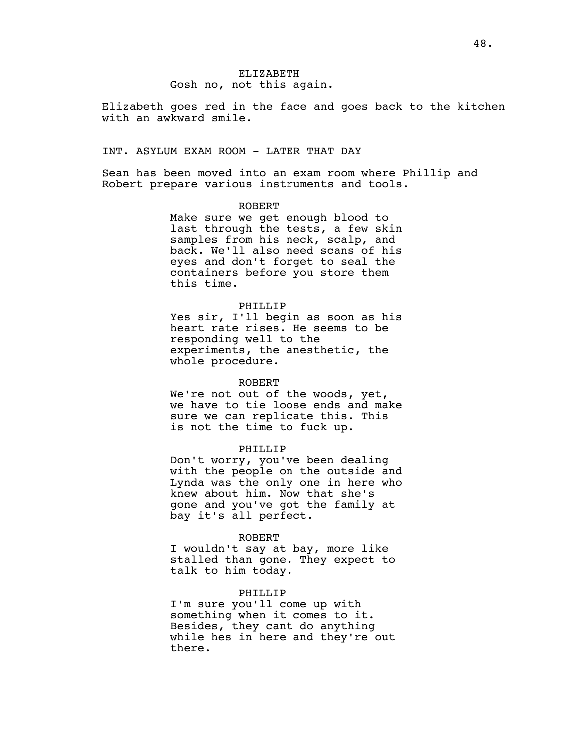ELIZABETH Gosh no, not this again.

Elizabeth goes red in the face and goes back to the kitchen with an awkward smile.

## INT. ASYLUM EXAM ROOM - LATER THAT DAY

Sean has been moved into an exam room where Phillip and Robert prepare various instruments and tools.

## ROBERT

Make sure we get enough blood to last through the tests, a few skin samples from his neck, scalp, and back. We'll also need scans of his eyes and don't forget to seal the containers before you store them this time.

## PHILLIP

Yes sir, I'll begin as soon as his heart rate rises. He seems to be responding well to the experiments, the anesthetic, the whole procedure.

#### ROBERT

We're not out of the woods, yet, we have to tie loose ends and make sure we can replicate this. This is not the time to fuck up.

## PHILLIP

Don't worry, you've been dealing with the people on the outside and Lynda was the only one in here who knew about him. Now that she's gone and you've got the family at bay it's all perfect.

#### ROBERT

I wouldn't say at bay, more like stalled than gone. They expect to talk to him today.

#### PHILLIP

I'm sure you'll come up with something when it comes to it. Besides, they cant do anything while hes in here and they're out there.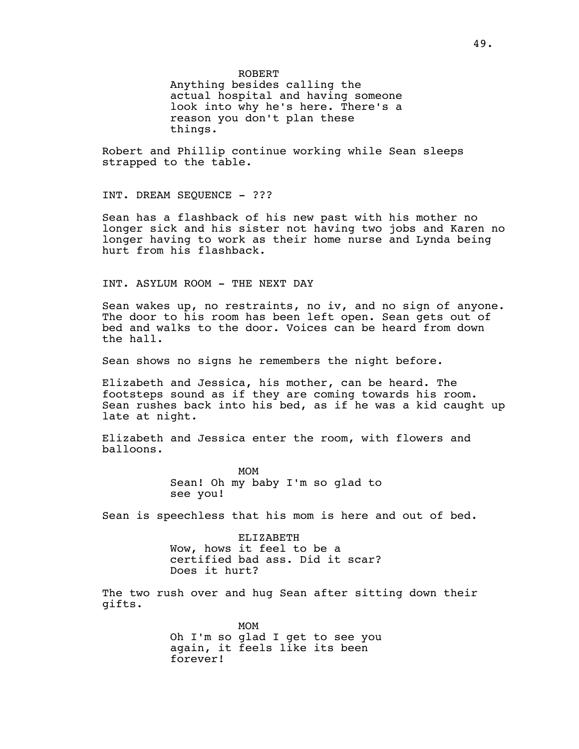ROBERT Anything besides calling the actual hospital and having someone look into why he's here. There's a reason you don't plan these things.

Robert and Phillip continue working while Sean sleeps strapped to the table.

INT. DREAM SEQUENCE - ???

Sean has a flashback of his new past with his mother no longer sick and his sister not having two jobs and Karen no longer having to work as their home nurse and Lynda being hurt from his flashback.

## INT. ASYLUM ROOM - THE NEXT DAY

Sean wakes up, no restraints, no iv, and no sign of anyone. The door to his room has been left open. Sean gets out of bed and walks to the door. Voices can be heard from down the hall.

Sean shows no signs he remembers the night before.

Elizabeth and Jessica, his mother, can be heard. The footsteps sound as if they are coming towards his room. Sean rushes back into his bed, as if he was a kid caught up late at night.

Elizabeth and Jessica enter the room, with flowers and balloons.

> MOM Sean! Oh my baby I'm so glad to see you!

Sean is speechless that his mom is here and out of bed.

ELIZABETH Wow, hows it feel to be a certified bad ass. Did it scar? Does it hurt?

The two rush over and hug Sean after sitting down their gifts.

> MOM Oh I'm so glad I get to see you again, it feels like its been forever!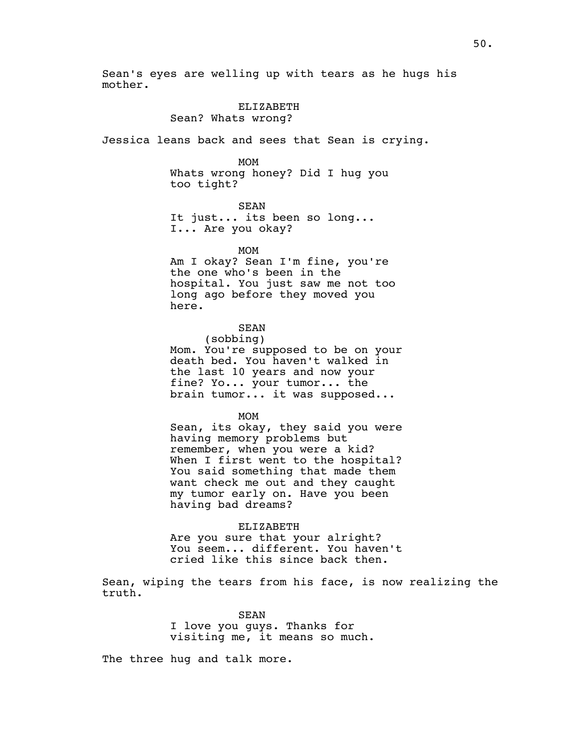Sean's eyes are welling up with tears as he hugs his mother.

# ELIZABETH

Sean? Whats wrong?

Jessica leans back and sees that Sean is crying.

## MOM

Whats wrong honey? Did I hug you too tight?

SEAN It just... its been so long... I... Are you okay?

## MOM

Am I okay? Sean I'm fine, you're the one who's been in the hospital. You just saw me not too long ago before they moved you here.

## SEAN

(sobbing) Mom. You're supposed to be on your death bed. You haven't walked in the last 10 years and now your fine? Yo... your tumor... the brain tumor... it was supposed...

MOM

Sean, its okay, they said you were having memory problems but remember, when you were a kid? When I first went to the hospital? You said something that made them want check me out and they caught my tumor early on. Have you been having bad dreams?

## ELIZABETH

Are you sure that your alright? You seem... different. You haven't cried like this since back then.

Sean, wiping the tears from his face, is now realizing the truth.

> SEAN I love you guys. Thanks for visiting me, it means so much.

The three hug and talk more.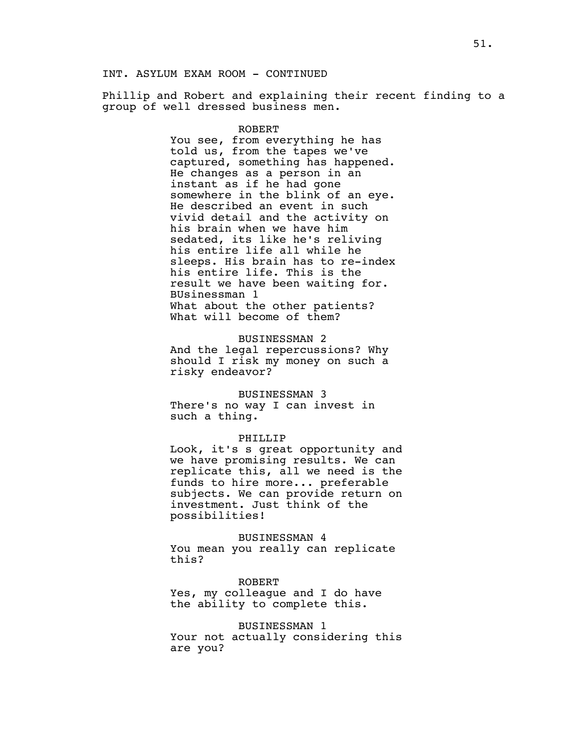Phillip and Robert and explaining their recent finding to a group of well dressed business men.

## ROBERT

You see, from everything he has told us, from the tapes we've captured, something has happened. He changes as a person in an instant as if he had gone somewhere in the blink of an eye. He described an event in such vivid detail and the activity on his brain when we have him sedated, its like he's reliving his entire life all while he sleeps. His brain has to re-index his entire life. This is the result we have been waiting for. BUsinessman 1 What about the other patients? What will become of them?

#### BUSINESSMAN 2

And the legal repercussions? Why should I risk my money on such a risky endeavor?

#### BUSINESSMAN 3

There's no way I can invest in such a thing.

#### PHILLIP

Look, it's s great opportunity and we have promising results. We can replicate this, all we need is the funds to hire more... preferable subjects. We can provide return on investment. Just think of the possibilities!

#### BUSINESSMAN 4

You mean you really can replicate this?

#### ROBERT

Yes, my colleague and I do have the ability to complete this.

## BUSINESSMAN 1

Your not actually considering this are you?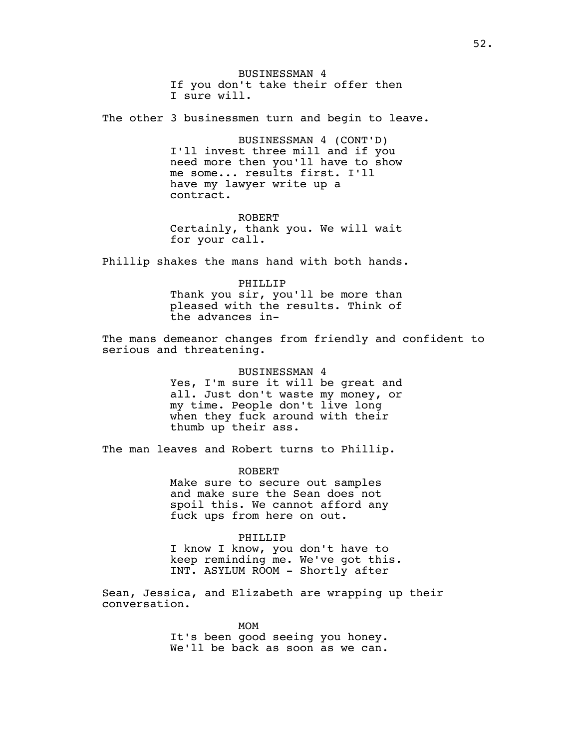BUSINESSMAN 4 If you don't take their offer then I sure will.

The other 3 businessmen turn and begin to leave.

BUSINESSMAN 4 (CONT'D) I'll invest three mill and if you need more then you'll have to show me some... results first. I'll have my lawyer write up a contract.

ROBERT Certainly, thank you. We will wait for your call.

Phillip shakes the mans hand with both hands.

PHILLIP Thank you sir, you'll be more than pleased with the results. Think of the advances in-

The mans demeanor changes from friendly and confident to serious and threatening.

#### BUSINESSMAN 4

Yes, I'm sure it will be great and all. Just don't waste my money, or my time. People don't live long when they fuck around with their thumb up their ass.

The man leaves and Robert turns to Phillip.

ROBERT Make sure to secure out samples and make sure the Sean does not spoil this. We cannot afford any fuck ups from here on out.

## PHILLIP

I know I know, you don't have to keep reminding me. We've got this. INT. ASYLUM ROOM - Shortly after

Sean, Jessica, and Elizabeth are wrapping up their conversation.

> MOM It's been good seeing you honey. We'll be back as soon as we can.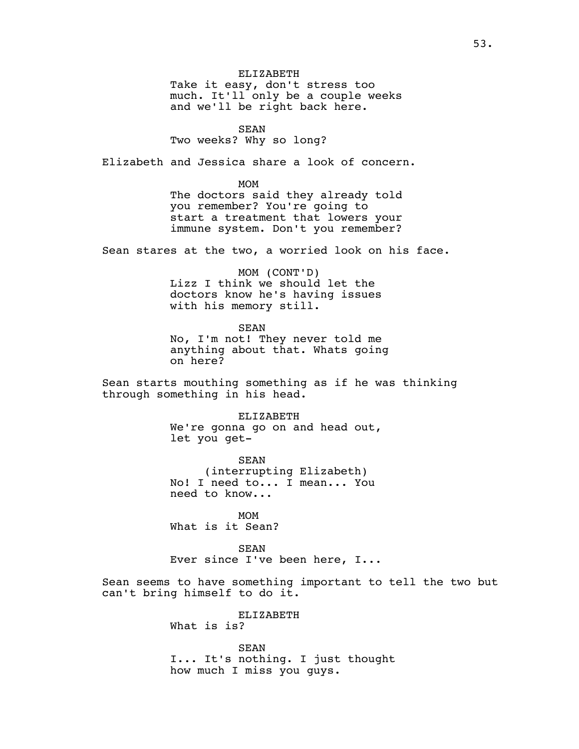ELIZABETH Take it easy, don't stress too much. It'll only be a couple weeks and we'll be right back here.

SEAN

Two weeks? Why so long?

Elizabeth and Jessica share a look of concern.

MOM The doctors said they already told you remember? You're going to start a treatment that lowers your immune system. Don't you remember?

Sean stares at the two, a worried look on his face.

MOM (CONT'D) Lizz I think we should let the doctors know he's having issues with his memory still.

SEAN

No, I'm not! They never told me anything about that. Whats going on here?

Sean starts mouthing something as if he was thinking through something in his head.

> ELIZABETH We're gonna go on and head out, let you get-

SEAN (interrupting Elizabeth) No! I need to... I mean... You need to know...

MOM What is it Sean?

SEAN Ever since I've been here, I...

Sean seems to have something important to tell the two but can't bring himself to do it.

> ELIZABETH What is is?

SEAN I... It's nothing. I just thought how much I miss you guys.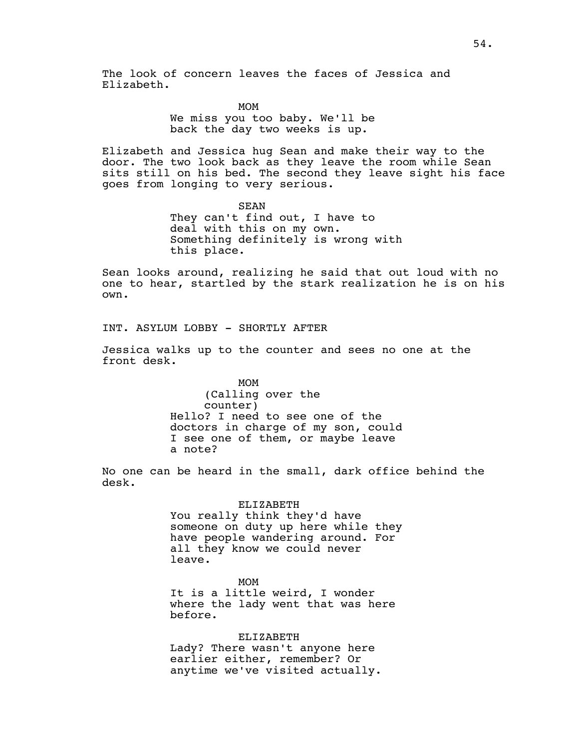The look of concern leaves the faces of Jessica and Elizabeth.

> MOM We miss you too baby. We'll be back the day two weeks is up.

Elizabeth and Jessica hug Sean and make their way to the door. The two look back as they leave the room while Sean sits still on his bed. The second they leave sight his face goes from longing to very serious.

> SEAN They can't find out, I have to deal with this on my own. Something definitely is wrong with this place.

Sean looks around, realizing he said that out loud with no one to hear, startled by the stark realization he is on his own.

INT. ASYLUM LOBBY - SHORTLY AFTER

Jessica walks up to the counter and sees no one at the front desk.

> MOM (Calling over the counter) Hello? I need to see one of the doctors in charge of my son, could I see one of them, or maybe leave a note?

No one can be heard in the small, dark office behind the desk.

> ELIZABETH You really think they'd have someone on duty up here while they have people wandering around. For all they know we could never leave.

MOM It is a little weird, I wonder where the lady went that was here before.

ELIZABETH Lady? There wasn't anyone here earlier either, remember? Or anytime we've visited actually.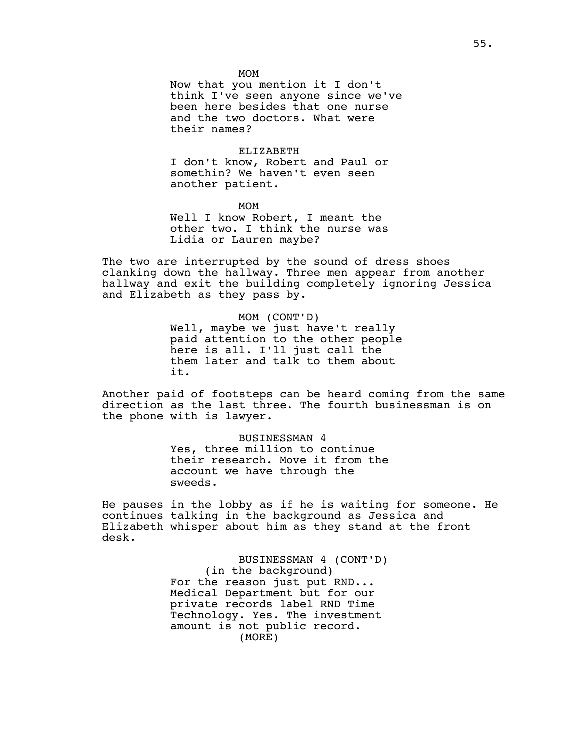MOM

Now that you mention it I don't think I've seen anyone since we've been here besides that one nurse and the two doctors. What were their names?

ELIZABETH

I don't know, Robert and Paul or somethin? We haven't even seen another patient.

MOM Well I know Robert, I meant the other two. I think the nurse was Lidia or Lauren maybe?

The two are interrupted by the sound of dress shoes clanking down the hallway. Three men appear from another hallway and exit the building completely ignoring Jessica and Elizabeth as they pass by.

> MOM (CONT'D) Well, maybe we just have't really paid attention to the other people here is all. I'll just call the them later and talk to them about it.

Another paid of footsteps can be heard coming from the same direction as the last three. The fourth businessman is on the phone with is lawyer.

> BUSINESSMAN 4 Yes, three million to continue their research. Move it from the account we have through the sweeds.

He pauses in the lobby as if he is waiting for someone. He continues talking in the background as Jessica and Elizabeth whisper about him as they stand at the front desk.

> BUSINESSMAN 4 (CONT'D) (in the background) For the reason just put RND... Medical Department but for our private records label RND Time Technology. Yes. The investment amount is not public record. (MORE)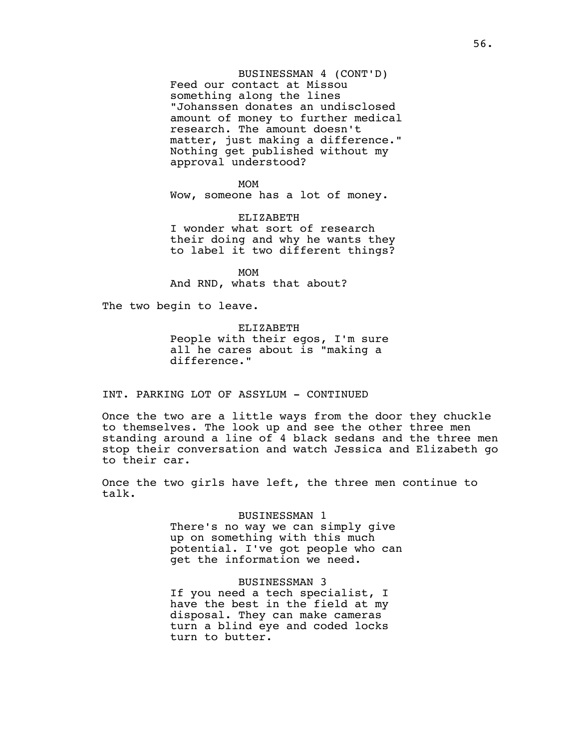BUSINESSMAN 4 (CONT'D) Feed our contact at Missou something along the lines "Johanssen donates an undisclosed amount of money to further medical research. The amount doesn't matter, just making a difference." Nothing get published without my approval understood?

#### MOM

Wow, someone has a lot of money.

ELIZABETH I wonder what sort of research their doing and why he wants they to label it two different things?

MOM And RND, whats that about?

The two begin to leave.

ELIZABETH People with their egos, I'm sure all he cares about is "making a difference."

## INT. PARKING LOT OF ASSYLUM - CONTINUED

Once the two are a little ways from the door they chuckle to themselves. The look up and see the other three men standing around a line of 4 black sedans and the three men stop their conversation and watch Jessica and Elizabeth go to their car.

Once the two girls have left, the three men continue to talk.

#### BUSINESSMAN 1

There's no way we can simply give up on something with this much potential. I've got people who can get the information we need.

## BUSINESSMAN 3

If you need a tech specialist, I have the best in the field at my disposal. They can make cameras turn a blind eye and coded locks turn to butter.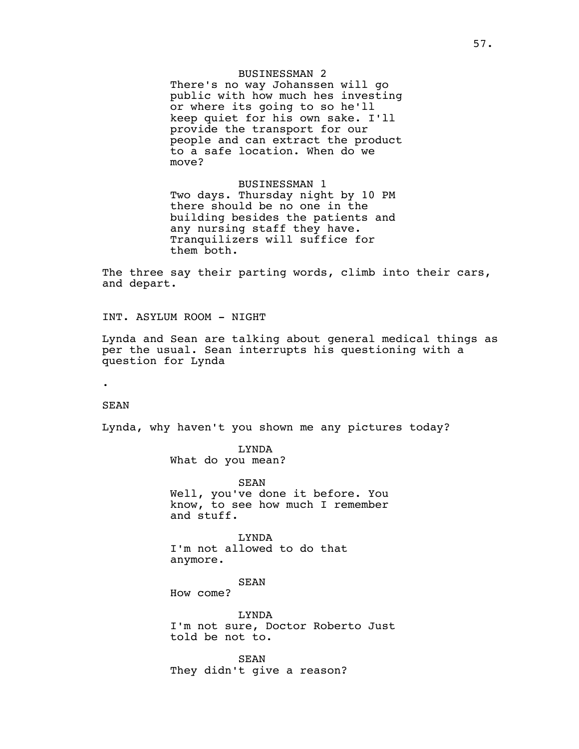## BUSINESSMAN 2

There's no way Johanssen will go public with how much hes investing or where its going to so he'll keep quiet for his own sake. I'll provide the transport for our people and can extract the product to a safe location. When do we move?

BUSINESSMAN 1 Two days. Thursday night by 10 PM there should be no one in the building besides the patients and any nursing staff they have. Tranquilizers will suffice for them both.

The three say their parting words, climb into their cars, and depart.

INT. ASYLUM ROOM - NIGHT

Lynda and Sean are talking about general medical things as per the usual. Sean interrupts his questioning with a question for Lynda

.

## SEAN

Lynda, why haven't you shown me any pictures today?

LYNDA What do you mean?

SEAN Well, you've done it before. You know, to see how much I remember and stuff.

LYNDA I'm not allowed to do that anymore.

SEAN

How come?

LYNDA I'm not sure, Doctor Roberto Just told be not to.

SEAN They didn't give a reason?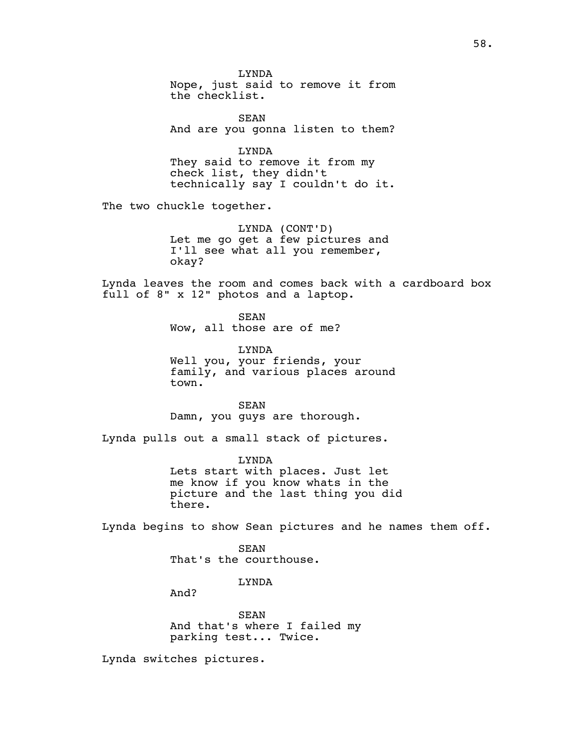LYNDA Nope, just said to remove it from the checklist. SEAN And are you gonna listen to them? LYNDA They said to remove it from my check list, they didn't technically say I couldn't do it. The two chuckle together. LYNDA (CONT'D) Let me go get a few pictures and I'll see what all you remember, okay? Lynda leaves the room and comes back with a cardboard box full of 8" x 12" photos and a laptop. SEAN Wow, all those are of me? LYNDA Well you, your friends, your family, and various places around town. SEAN Damn, you guys are thorough. Lynda pulls out a small stack of pictures. LYNDA Lets start with places. Just let me know if you know whats in the picture and the last thing you did there. Lynda begins to show Sean pictures and he names them off. SEAN That's the courthouse. LYNDA And? SEAN And that's where I failed my parking test... Twice.

Lynda switches pictures.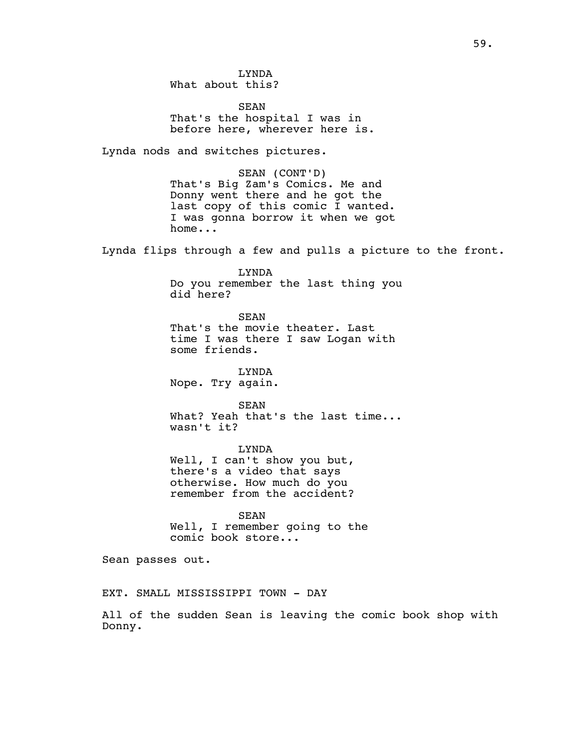LYNDA What about this?

SEAN That's the hospital I was in before here, wherever here is.

Lynda nods and switches pictures.

SEAN (CONT'D) That's Big Zam's Comics. Me and Donny went there and he got the last copy of this comic I wanted. I was gonna borrow it when we got home...

Lynda flips through a few and pulls a picture to the front.

LYNDA Do you remember the last thing you did here?

SEAN That's the movie theater. Last time I was there I saw Logan with some friends.

LYNDA Nope. Try again.

SEAN What? Yeah that's the last time... wasn't it?

LYNDA Well, I can't show you but, there's a video that says otherwise. How much do you

remember from the accident?

SEAN Well, I remember going to the comic book store...

Sean passes out.

EXT. SMALL MISSISSIPPI TOWN - DAY

All of the sudden Sean is leaving the comic book shop with Donny.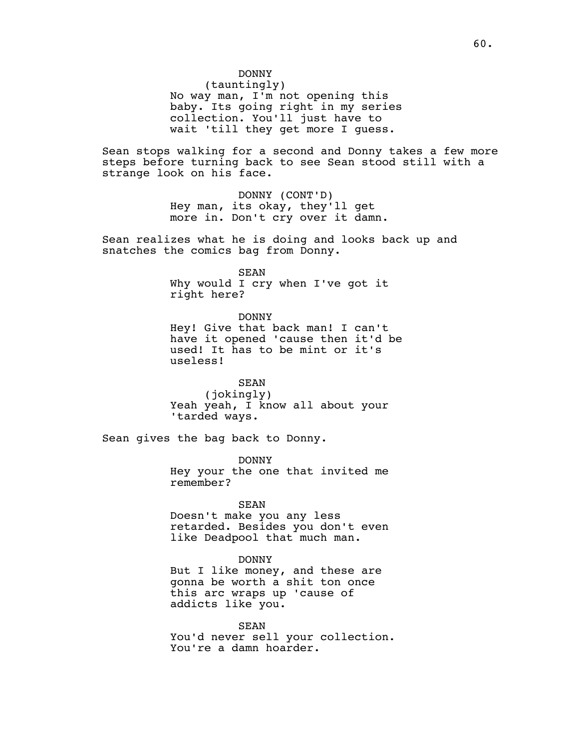DONNY

(tauntingly) No way man, I'm not opening this baby. Its going right in my series collection. You'll just have to wait 'till they get more I guess.

Sean stops walking for a second and Donny takes a few more steps before turning back to see Sean stood still with a strange look on his face.

> DONNY (CONT'D) Hey man, its okay, they'll get more in. Don't cry over it damn.

Sean realizes what he is doing and looks back up and snatches the comics bag from Donny.

SEAN

Why would I cry when I've got it right here?

DONNY Hey! Give that back man! I can't have it opened 'cause then it'd be used! It has to be mint or it's useless!

SEAN (jokingly) Yeah yeah, I know all about your 'tarded ways.

Sean gives the bag back to Donny.

DONNY Hey your the one that invited me remember?

SEAN

Doesn't make you any less retarded. Besides you don't even like Deadpool that much man.

DONNY

But I like money, and these are gonna be worth a shit ton once this arc wraps up 'cause of addicts like you.

SEAN You'd never sell your collection. You're a damn hoarder.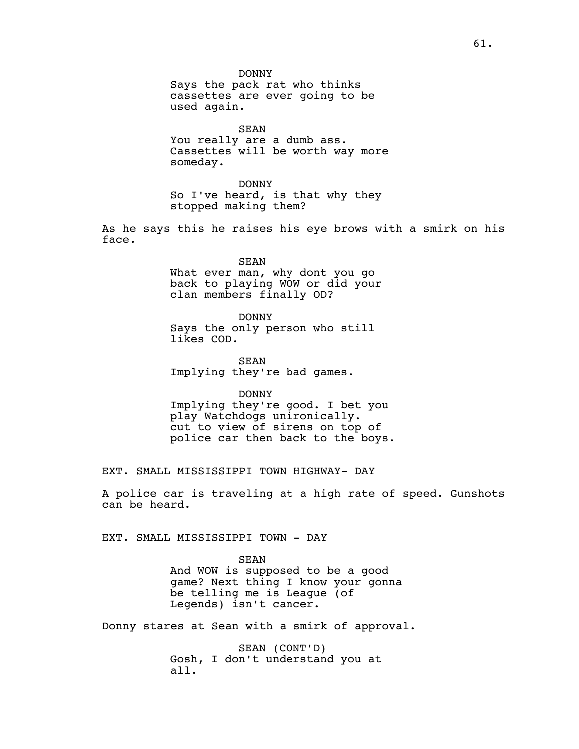SEAN You really are a dumb ass. Cassettes will be worth way more someday.

DONNY So I've heard, is that why they stopped making them?

As he says this he raises his eye brows with a smirk on his face.

> SEAN What ever man, why dont you go back to playing WOW or did your clan members finally OD?

DONNY Says the only person who still likes COD.

SEAN Implying they're bad games.

DONNY Implying they're good. I bet you play Watchdogs unironically. cut to view of sirens on top of police car then back to the boys.

EXT. SMALL MISSISSIPPI TOWN HIGHWAY- DAY

A police car is traveling at a high rate of speed. Gunshots can be heard.

EXT. SMALL MISSISSIPPI TOWN - DAY

SEAN And WOW is supposed to be a good game? Next thing I know your gonna be telling me is League (of Legends) isn't cancer.

Donny stares at Sean with a smirk of approval.

SEAN (CONT'D) Gosh, I don't understand you at all.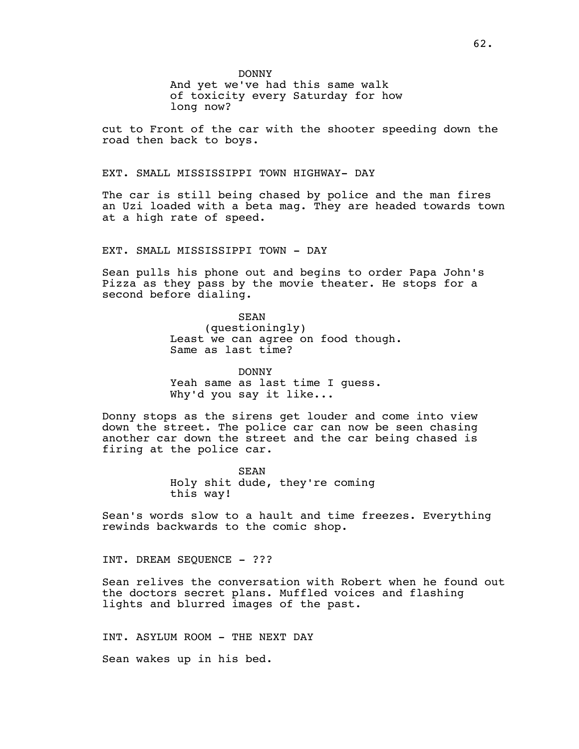DONNY

And yet we've had this same walk of toxicity every Saturday for how long now?

cut to Front of the car with the shooter speeding down the road then back to boys.

EXT. SMALL MISSISSIPPI TOWN HIGHWAY- DAY

The car is still being chased by police and the man fires an Uzi loaded with a beta mag. They are headed towards town at a high rate of speed.

EXT. SMALL MISSISSIPPI TOWN - DAY

Sean pulls his phone out and begins to order Papa John's Pizza as they pass by the movie theater. He stops for a second before dialing.

> SEAN (questioningly) Least we can agree on food though. Same as last time?

DONNY Yeah same as last time I guess. Why'd you say it like...

Donny stops as the sirens get louder and come into view down the street. The police car can now be seen chasing another car down the street and the car being chased is firing at the police car.

> SEAN Holy shit dude, they're coming this way!

Sean's words slow to a hault and time freezes. Everything rewinds backwards to the comic shop.

INT. DREAM SEQUENCE - ???

Sean relives the conversation with Robert when he found out the doctors secret plans. Muffled voices and flashing lights and blurred images of the past.

INT. ASYLUM ROOM - THE NEXT DAY Sean wakes up in his bed.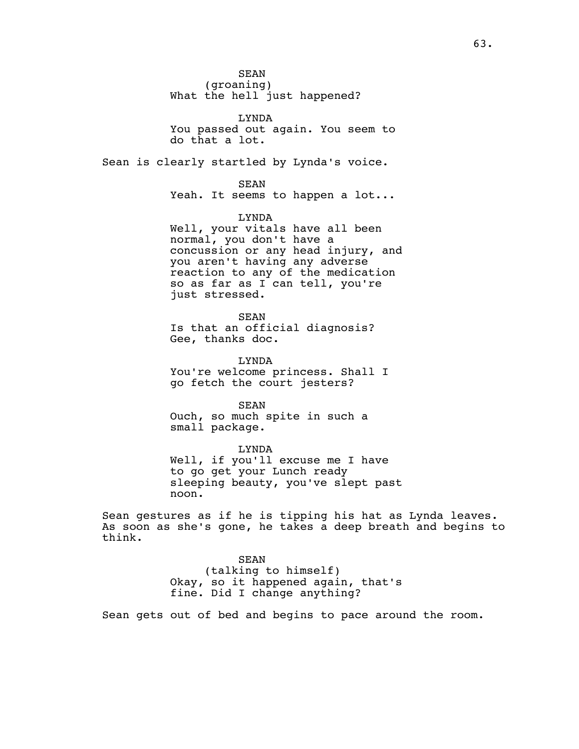SEAN (groaning) What the hell just happened?

LYNDA You passed out again. You seem to do that a lot.

Sean is clearly startled by Lynda's voice.

SEAN

Yeah. It seems to happen a lot...

LYNDA

Well, your vitals have all been normal, you don't have a concussion or any head injury, and you aren't having any adverse reaction to any of the medication so as far as I can tell, you're just stressed.

SEAN Is that an official diagnosis? Gee, thanks doc.

LYNDA You're welcome princess. Shall I go fetch the court jesters?

SEAN Ouch, so much spite in such a small package.

LYNDA Well, if you'll excuse me I have to go get your Lunch ready sleeping beauty, you've slept past noon.

Sean gestures as if he is tipping his hat as Lynda leaves. As soon as she's gone, he takes a deep breath and begins to think.

> SEAN (talking to himself) Okay, so it happened again, that's fine. Did I change anything?

Sean gets out of bed and begins to pace around the room.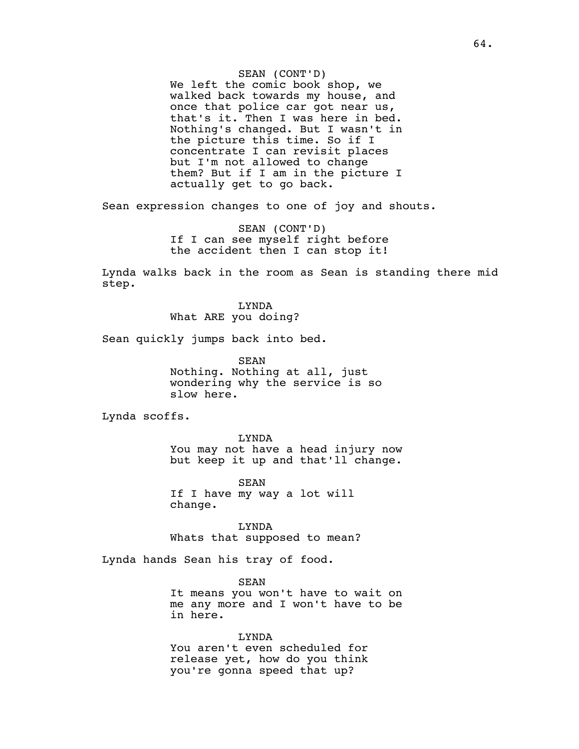SEAN (CONT'D) We left the comic book shop, we walked back towards my house, and once that police car got near us, that's it. Then I was here in bed. Nothing's changed. But I wasn't in the picture this time. So if I concentrate I can revisit places but I'm not allowed to change them? But if I am in the picture I actually get to go back.

Sean expression changes to one of joy and shouts.

SEAN (CONT'D) If I can see myself right before the accident then I can stop it!

Lynda walks back in the room as Sean is standing there mid step.

> LYNDA What ARE you doing?

Sean quickly jumps back into bed.

SEAN Nothing. Nothing at all, just wondering why the service is so slow here.

Lynda scoffs.

LYNDA You may not have a head injury now but keep it up and that'll change.

SEAN If I have my way a lot will change.

LYNDA Whats that supposed to mean?

Lynda hands Sean his tray of food.

SEAN It means you won't have to wait on me any more and I won't have to be in here.

LYNDA You aren't even scheduled for release yet, how do you think you're gonna speed that up?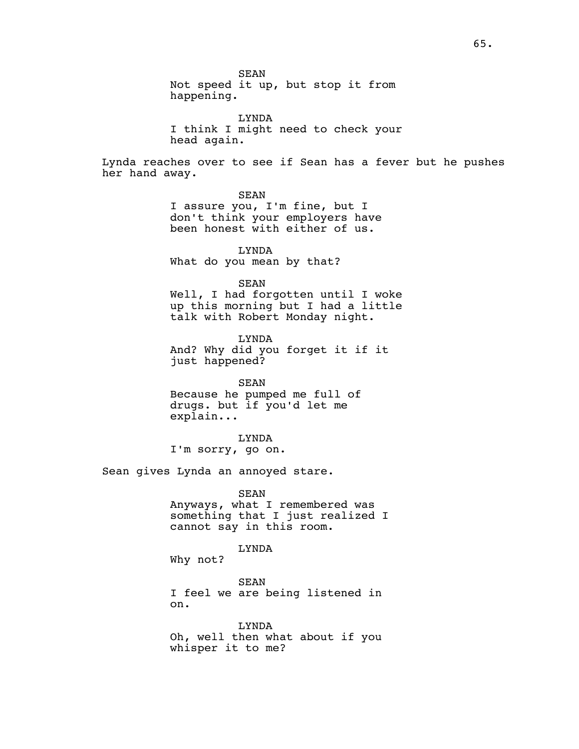SEAN Not speed it up, but stop it from happening. LYNDA I think I might need to check your head again. Lynda reaches over to see if Sean has a fever but he pushes her hand away. SEAN I assure you, I'm fine, but I don't think your employers have been honest with either of us. LYNDA What do you mean by that? SEAN Well, I had forgotten until I woke up this morning but I had a little talk with Robert Monday night. LYNDA And? Why did you forget it if it just happened? SEAN Because he pumped me full of drugs. but if you'd let me explain... LYNDA I'm sorry, go on. Sean gives Lynda an annoyed stare. SEAN Anyways, what I remembered was something that I just realized I cannot say in this room. LYNDA Why not? SEAN I feel we are being listened in on. LYNDA Oh, well then what about if you whisper it to me?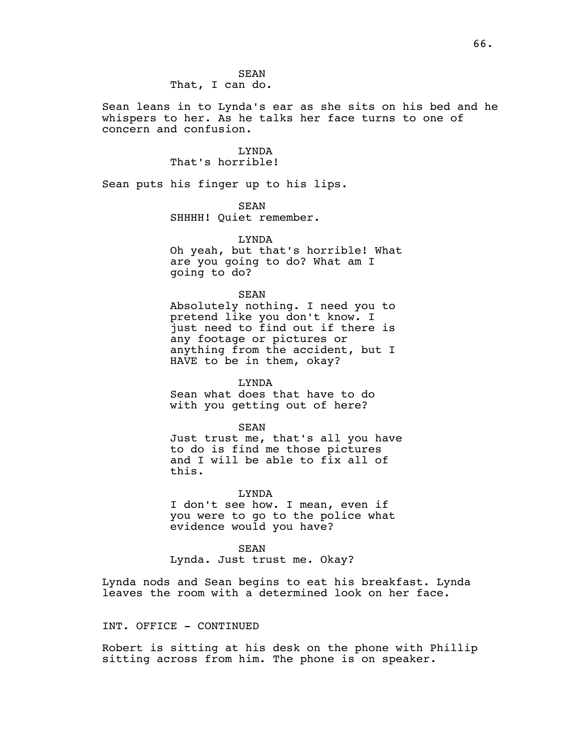SEAN That, I can do.

Sean leans in to Lynda's ear as she sits on his bed and he whispers to her. As he talks her face turns to one of concern and confusion.

## LYNDA That's horrible!

Sean puts his finger up to his lips.

SEAN SHHHH! Quiet remember.

LYNDA Oh yeah, but that's horrible! What are you going to do? What am I going to do?

SEAN

Absolutely nothing. I need you to pretend like you don't know. I just need to find out if there is any footage or pictures or anything from the accident, but I HAVE to be in them, okay?

LYNDA Sean what does that have to do with you getting out of here?

SEAN Just trust me, that's all you have to do is find me those pictures and I will be able to fix all of this.

LYNDA I don't see how. I mean, even if you were to go to the police what evidence would you have?

SEAN Lynda. Just trust me. Okay?

Lynda nods and Sean begins to eat his breakfast. Lynda leaves the room with a determined look on her face.

## INT. OFFICE - CONTINUED

Robert is sitting at his desk on the phone with Phillip sitting across from him. The phone is on speaker.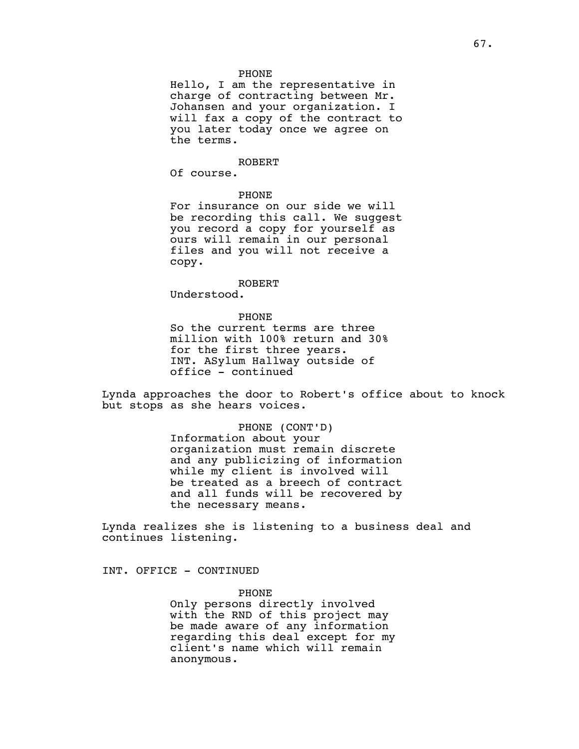## PHONE

Hello, I am the representative in charge of contracting between Mr. Johansen and your organization. I will fax a copy of the contract to you later today once we agree on the terms.

#### ROBERT

Of course.

## PHONE

For insurance on our side we will be recording this call. We suggest you record a copy for yourself as ours will remain in our personal files and you will not receive a copy.

#### ROBERT

Understood.

## PHONE

So the current terms are three million with 100% return and 30% for the first three years. INT. ASylum Hallway outside of office - continued

Lynda approaches the door to Robert's office about to knock but stops as she hears voices.

> PHONE (CONT'D) Information about your organization must remain discrete and any publicizing of information while my client is involved will be treated as a breech of contract and all funds will be recovered by the necessary means.

Lynda realizes she is listening to a business deal and continues listening.

INT. OFFICE - CONTINUED

## PHONE

Only persons directly involved with the RND of this project may be made aware of any information regarding this deal except for my client's name which will remain anonymous.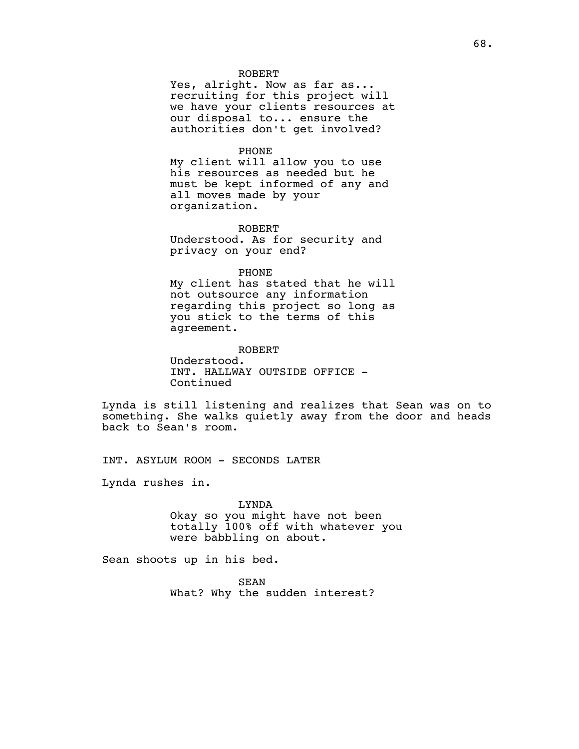## ROBERT

Yes, alright. Now as far as... recruiting for this project will we have your clients resources at our disposal to... ensure the authorities don't get involved?

## PHONE

My client will allow you to use his resources as needed but he must be kept informed of any and all moves made by your organization.

## ROBERT

Understood. As for security and privacy on your end?

## PHONE

My client has stated that he will not outsource any information regarding this project so long as you stick to the terms of this agreement.

## ROBERT

Understood. INT. HALLWAY OUTSIDE OFFICE - Continued

Lynda is still listening and realizes that Sean was on to something. She walks quietly away from the door and heads back to Sean's room.

INT. ASYLUM ROOM - SECONDS LATER

Lynda rushes in.

## LYNDA Okay so you might have not been totally 100% off with whatever you were babbling on about.

Sean shoots up in his bed.

SEAN What? Why the sudden interest?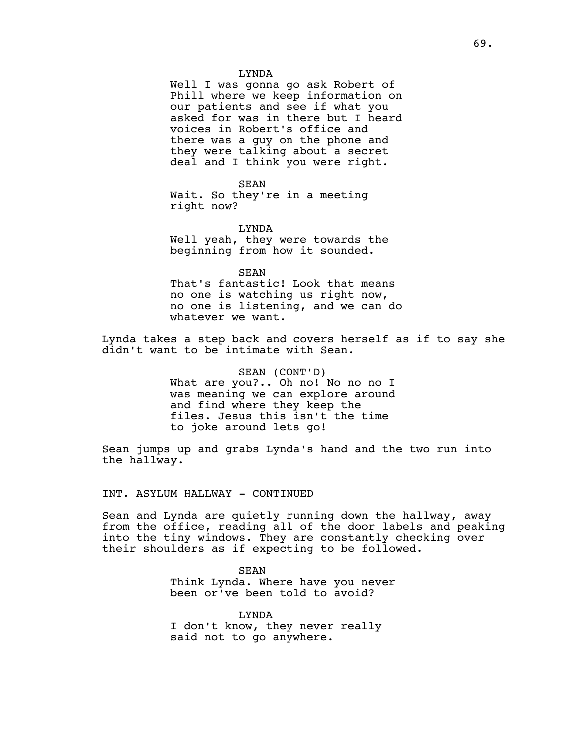Well I was gonna go ask Robert of Phill where we keep information on our patients and see if what you asked for was in there but I heard voices in Robert's office and there was a guy on the phone and they were talking about a secret deal and I think you were right.

SEAN Wait. So they're in a meeting right now?

LYNDA Well yeah, they were towards the beginning from how it sounded.

SEAN That's fantastic! Look that means no one is watching us right now, no one is listening, and we can do whatever we want.

Lynda takes a step back and covers herself as if to say she didn't want to be intimate with Sean.

> SEAN (CONT'D) What are you?.. Oh no! No no no I was meaning we can explore around and find where they keep the files. Jesus this isn't the time to joke around lets go!

Sean jumps up and grabs Lynda's hand and the two run into the hallway.

INT. ASYLUM HALLWAY - CONTINUED

Sean and Lynda are quietly running down the hallway, away from the office, reading all of the door labels and peaking into the tiny windows. They are constantly checking over their shoulders as if expecting to be followed.

> SEAN Think Lynda. Where have you never been or've been told to avoid?

LYNDA I don't know, they never really said not to go anywhere.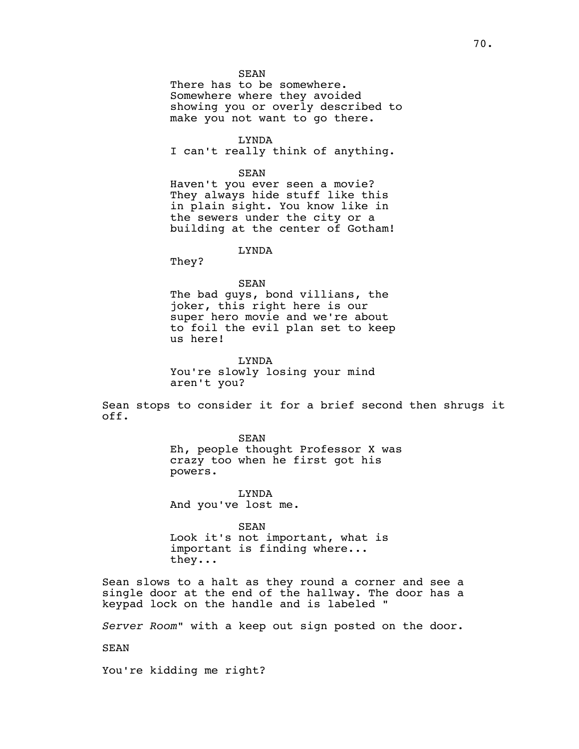## SEAN

There has to be somewhere. Somewhere where they avoided showing you or overly described to make you not want to go there.

LYNDA

I can't really think of anything.

SEAN

Haven't you ever seen a movie? They always hide stuff like this in plain sight. You know like in the sewers under the city or a building at the center of Gotham!

LYNDA

They?

SEAN

The bad guys, bond villians, the joker, this right here is our super hero movie and we're about to foil the evil plan set to keep us here!

LYNDA You're slowly losing your mind aren't you?

Sean stops to consider it for a brief second then shrugs it off.

> SEAN Eh, people thought Professor X was crazy too when he first got his powers.

LYNDA And you've lost me.

SEAN Look it's not important, what is important is finding where... they...

Sean slows to a halt as they round a corner and see a single door at the end of the hallway. The door has a keypad lock on the handle and is labeled "

*Server Room*" with a keep out sign posted on the door.

SEAN

You're kidding me right?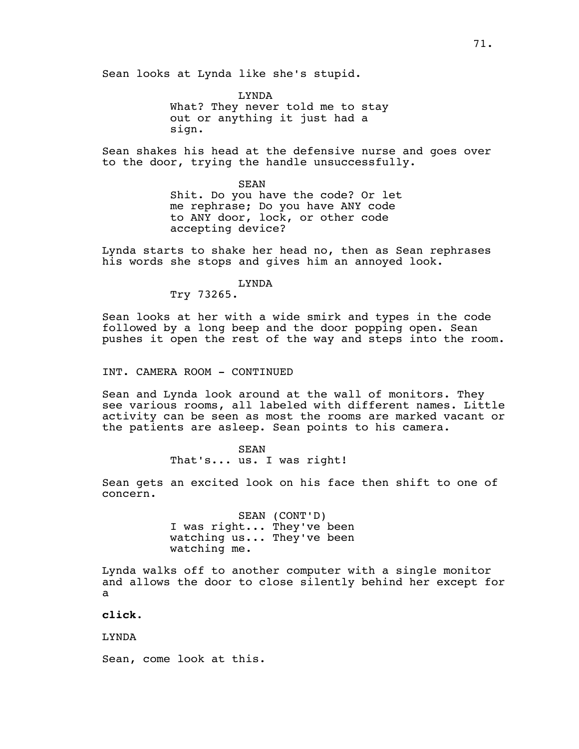Sean looks at Lynda like she's stupid.

LYNDA What? They never told me to stay out or anything it just had a sign.

Sean shakes his head at the defensive nurse and goes over to the door, trying the handle unsuccessfully.

> SEAN Shit. Do you have the code? Or let me rephrase; Do you have ANY code to ANY door, lock, or other code accepting device?

Lynda starts to shake her head no, then as Sean rephrases his words she stops and gives him an annoyed look.

> LYNDA Try 73265.

Sean looks at her with a wide smirk and types in the code followed by a long beep and the door popping open. Sean pushes it open the rest of the way and steps into the room.

INT. CAMERA ROOM - CONTINUED

Sean and Lynda look around at the wall of monitors. They see various rooms, all labeled with different names. Little activity can be seen as most the rooms are marked vacant or the patients are asleep. Sean points to his camera.

> SEAN That's... us. I was right!

Sean gets an excited look on his face then shift to one of concern.

> SEAN (CONT'D) I was right... They've been watching us... They've been watching me.

Lynda walks off to another computer with a single monitor and allows the door to close silently behind her except for a

**click**.

LYNDA

Sean, come look at this.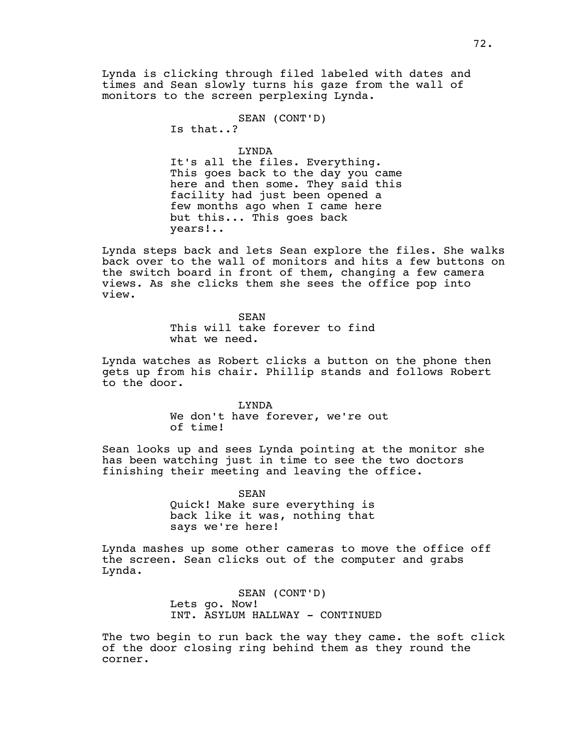Lynda is clicking through filed labeled with dates and times and Sean slowly turns his gaze from the wall of monitors to the screen perplexing Lynda.

> SEAN (CONT'D) Is that..?

LYNDA It's all the files. Everything. This goes back to the day you came here and then some. They said this facility had just been opened a few months ago when I came here but this... This goes back years!..

Lynda steps back and lets Sean explore the files. She walks back over to the wall of monitors and hits a few buttons on the switch board in front of them, changing a few camera views. As she clicks them she sees the office pop into view.

> **SEAN** This will take forever to find what we need.

Lynda watches as Robert clicks a button on the phone then gets up from his chair. Phillip stands and follows Robert to the door.

> LYNDA We don't have forever, we're out of time!

Sean looks up and sees Lynda pointing at the monitor she has been watching just in time to see the two doctors finishing their meeting and leaving the office.

> SEAN Quick! Make sure everything is back like it was, nothing that says we're here!

Lynda mashes up some other cameras to move the office off the screen. Sean clicks out of the computer and grabs Lynda.

> SEAN (CONT'D) Lets go. Now! INT. ASYLUM HALLWAY - CONTINUED

The two begin to run back the way they came. the soft click of the door closing ring behind them as they round the corner.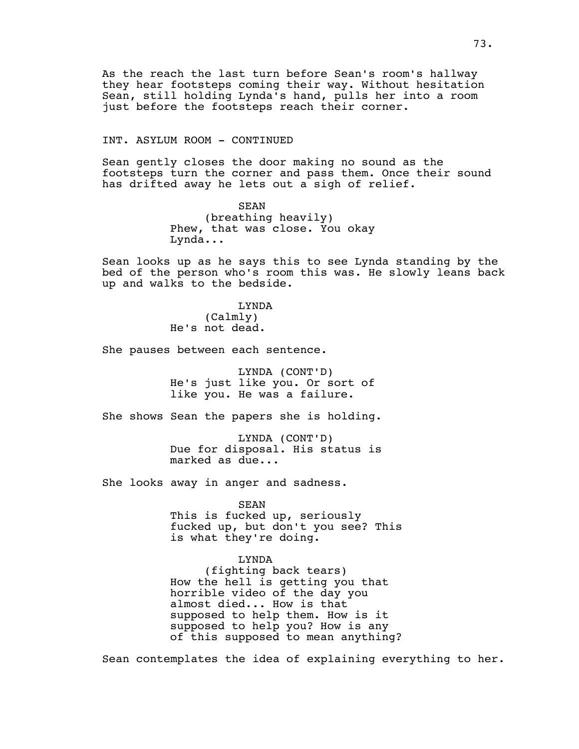As the reach the last turn before Sean's room's hallway they hear footsteps coming their way. Without hesitation Sean, still holding Lynda's hand, pulls her into a room just before the footsteps reach their corner.

### INT. ASYLUM ROOM - CONTINUED

Sean gently closes the door making no sound as the footsteps turn the corner and pass them. Once their sound has drifted away he lets out a sigh of relief.

> SEAN (breathing heavily) Phew, that was close. You okay Lynda...

Sean looks up as he says this to see Lynda standing by the bed of the person who's room this was. He slowly leans back up and walks to the bedside.

> LYNDA (Calmly) He's not dead.

She pauses between each sentence.

LYNDA (CONT'D) He's just like you. Or sort of like you. He was a failure.

She shows Sean the papers she is holding.

LYNDA (CONT'D) Due for disposal. His status is marked as due...

She looks away in anger and sadness.

SEAN

This is fucked up, seriously fucked up, but don't you see? This is what they're doing.

## LYNDA

(fighting back tears) How the hell is getting you that horrible video of the day you almost died... How is that supposed to help them. How is it supposed to help you? How is any of this supposed to mean anything?

Sean contemplates the idea of explaining everything to her.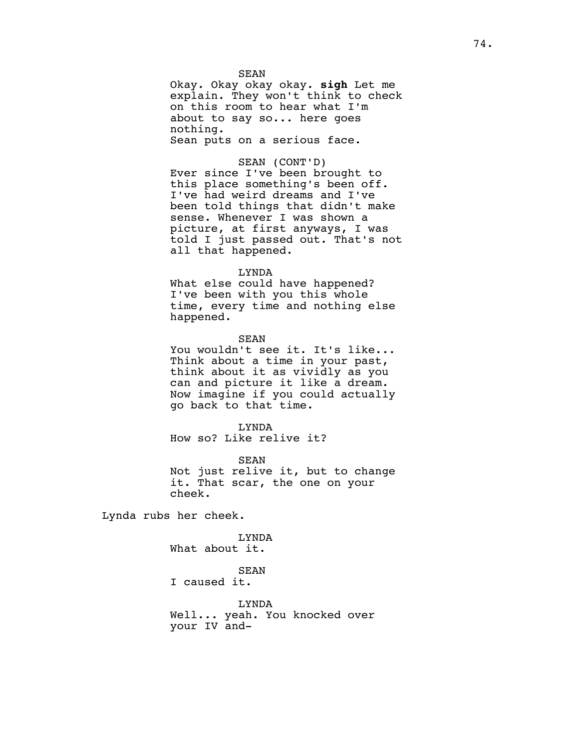SEAN Okay. Okay okay okay. **sigh** Let me explain. They won't think to check on this room to hear what I'm about to say so... here goes nothing. Sean puts on a serious face.

## SEAN (CONT'D)

Ever since I've been brought to this place something's been off. I've had weird dreams and I've been told things that didn't make sense. Whenever I was shown a picture, at first anyways, I was told I just passed out. That's not all that happened.

#### LYNDA

What else could have happened? I've been with you this whole time, every time and nothing else happened.

SEAN

You wouldn't see it. It's like... Think about a time in your past, think about it as vividly as you can and picture it like a dream. Now imagine if you could actually go back to that time.

LYNDA How so? Like relive it?

SEAN Not just relive it, but to change it. That scar, the one on your cheek.

Lynda rubs her cheek.

LYNDA What about it.

SEAN I caused it.

LYNDA Well... yeah. You knocked over your IV and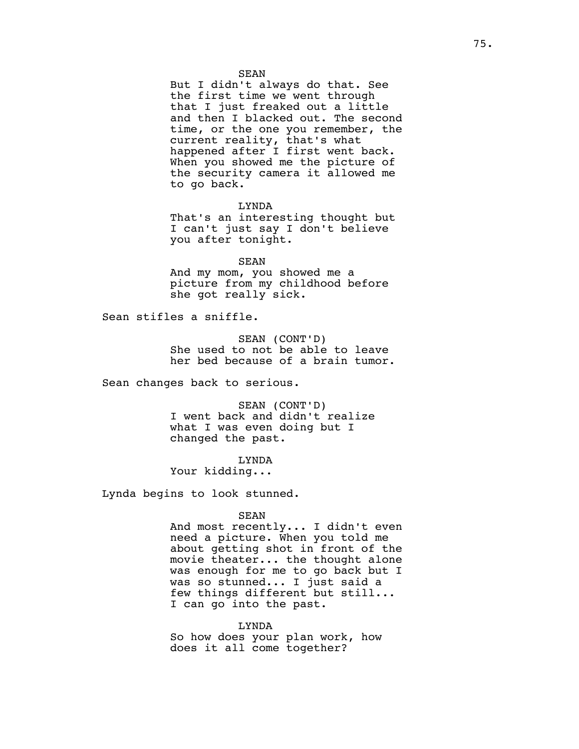But I didn't always do that. See the first time we went through that I just freaked out a little and then I blacked out. The second time, or the one you remember, the current reality, that's what happened after I first went back. When you showed me the picture of the security camera it allowed me to go back.

LYNDA That's an interesting thought but I can't just say I don't believe you after tonight.

SEAN And my mom, you showed me a picture from my childhood before she got really sick.

Sean stifles a sniffle.

SEAN (CONT'D) She used to not be able to leave her bed because of a brain tumor.

Sean changes back to serious.

SEAN (CONT'D) I went back and didn't realize what I was even doing but I changed the past.

LYNDA Your kidding...

Lynda begins to look stunned.

SEAN

And most recently... I didn't even need a picture. When you told me about getting shot in front of the movie theater... the thought alone was enough for me to go back but I was so stunned... I just said a few things different but still... I can go into the past.

LYNDA So how does your plan work, how does it all come together?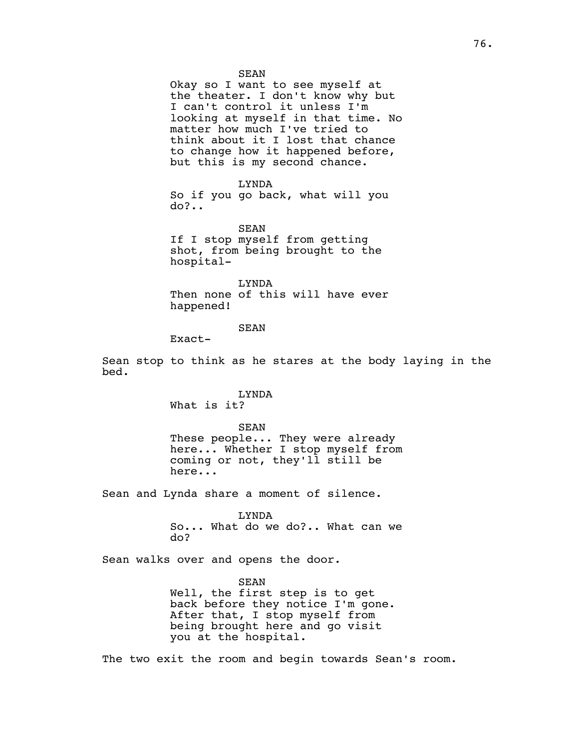76.

SEAN

Okay so I want to see myself at the theater. I don't know why but I can't control it unless I'm looking at myself in that time. No matter how much I've tried to think about it I lost that chance to change how it happened before, but this is my second chance.

LYNDA

So if you go back, what will you do?..

SEAN If I stop myself from getting shot, from being brought to the hospital-

LYNDA Then none of this will have ever happened!

SEAN

Exact-

Sean stop to think as he stares at the body laying in the bed.

> LYNDA What is it?

SEAN These people... They were already here... Whether I stop myself from coming or not, they'll still be here...

Sean and Lynda share a moment of silence.

LYNDA So... What do we do?.. What can we do?

Sean walks over and opens the door.

SEAN Well, the first step is to get back before they notice I'm gone. After that, I stop myself from being brought here and go visit you at the hospital.

The two exit the room and begin towards Sean's room.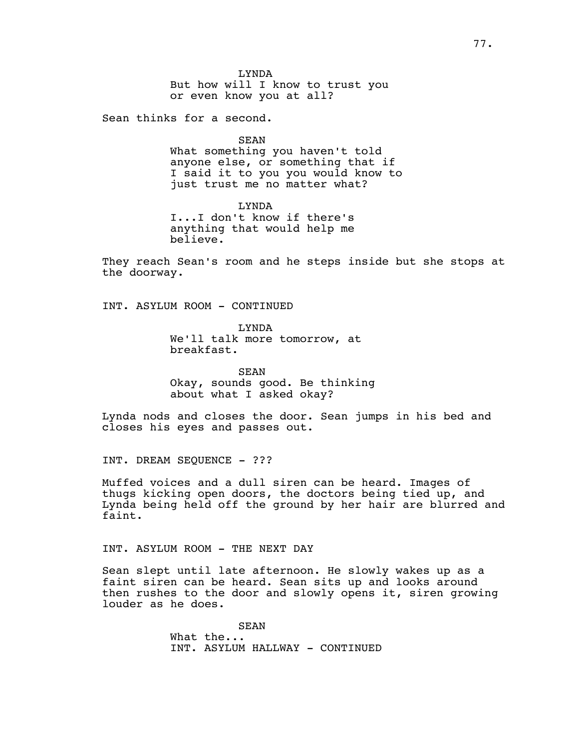Sean thinks for a second.

SEAN

What something you haven't told anyone else, or something that if I said it to you you would know to just trust me no matter what?

LYNDA I...I don't know if there's anything that would help me believe.

They reach Sean's room and he steps inside but she stops at the doorway.

INT. ASYLUM ROOM - CONTINUED

LYNDA We'll talk more tomorrow, at breakfast.

SEAN Okay, sounds good. Be thinking about what I asked okay?

Lynda nods and closes the door. Sean jumps in his bed and closes his eyes and passes out.

INT. DREAM SEQUENCE - ???

Muffed voices and a dull siren can be heard. Images of thugs kicking open doors, the doctors being tied up, and Lynda being held off the ground by her hair are blurred and faint.

INT. ASYLUM ROOM - THE NEXT DAY

Sean slept until late afternoon. He slowly wakes up as a faint siren can be heard. Sean sits up and looks around then rushes to the door and slowly opens it, siren growing louder as he does.

> SEAN What the... INT. ASYLUM HALLWAY - CONTINUED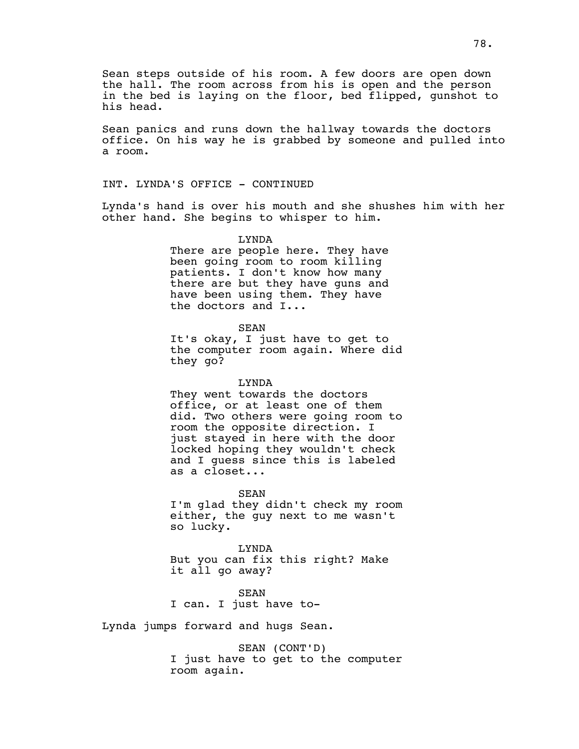Sean steps outside of his room. A few doors are open down the hall. The room across from his is open and the person in the bed is laying on the floor, bed flipped, gunshot to his head.

Sean panics and runs down the hallway towards the doctors office. On his way he is grabbed by someone and pulled into a room.

INT. LYNDA'S OFFICE - CONTINUED

Lynda's hand is over his mouth and she shushes him with her other hand. She begins to whisper to him.

> LYNDA There are people here. They have been going room to room killing patients. I don't know how many there are but they have guns and have been using them. They have the doctors and I...

> > SEAN

It's okay, I just have to get to the computer room again. Where did they go?

LYNDA

They went towards the doctors office, or at least one of them did. Two others were going room to room the opposite direction. I just stayed in here with the door locked hoping they wouldn't check and I guess since this is labeled as a closet...

SEAN I'm glad they didn't check my room either, the guy next to me wasn't so lucky.

LYNDA But you can fix this right? Make it all go away?

SEAN I can. I just have to-

Lynda jumps forward and hugs Sean.

SEAN (CONT'D) I just have to get to the computer room again.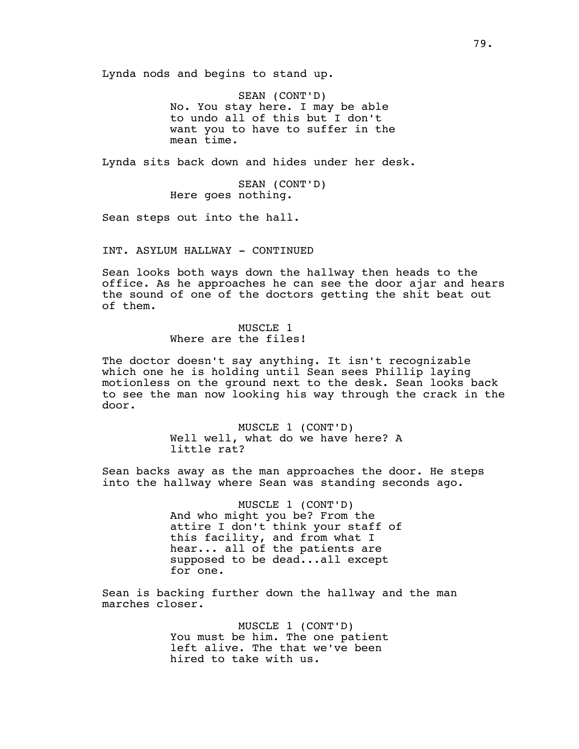Lynda nods and begins to stand up.

SEAN (CONT'D) No. You stay here. I may be able to undo all of this but I don't want you to have to suffer in the mean time.

Lynda sits back down and hides under her desk.

SEAN (CONT'D) Here goes nothing.

Sean steps out into the hall.

INT. ASYLUM HALLWAY - CONTINUED

Sean looks both ways down the hallway then heads to the office. As he approaches he can see the door ajar and hears the sound of one of the doctors getting the shit beat out of them.

> MUSCLE 1 Where are the files!

The doctor doesn't say anything. It isn't recognizable which one he is holding until Sean sees Phillip laying motionless on the ground next to the desk. Sean looks back to see the man now looking his way through the crack in the door.

> MUSCLE 1 (CONT'D) Well well, what do we have here? A little rat?

Sean backs away as the man approaches the door. He steps into the hallway where Sean was standing seconds ago.

> MUSCLE 1 (CONT'D) And who might you be? From the attire I don't think your staff of this facility, and from what I hear... all of the patients are supposed to be dead...all except for one.

Sean is backing further down the hallway and the man marches closer.

> MUSCLE 1 (CONT'D) You must be him. The one patient left alive. The that we've been hired to take with us.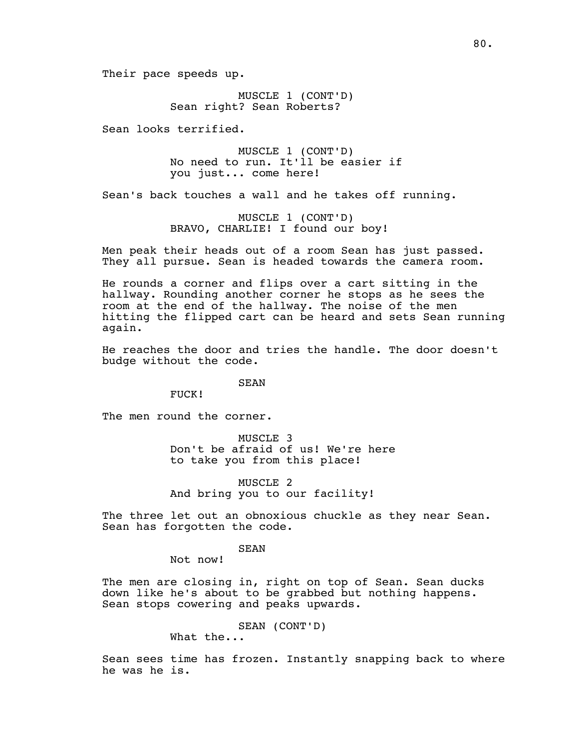Their pace speeds up.

MUSCLE 1 (CONT'D) Sean right? Sean Roberts?

Sean looks terrified.

MUSCLE 1 (CONT'D) No need to run. It'll be easier if you just... come here!

Sean's back touches a wall and he takes off running.

MUSCLE 1 (CONT'D) BRAVO, CHARLIE! I found our boy!

Men peak their heads out of a room Sean has just passed. They all pursue. Sean is headed towards the camera room.

He rounds a corner and flips over a cart sitting in the hallway. Rounding another corner he stops as he sees the room at the end of the hallway. The noise of the men hitting the flipped cart can be heard and sets Sean running again.

He reaches the door and tries the handle. The door doesn't budge without the code.

# SEAN

FUCK!

The men round the corner.

MUSCLE 3 Don't be afraid of us! We're here to take you from this place!

MUSCLE 2 And bring you to our facility!

The three let out an obnoxious chuckle as they near Sean. Sean has forgotten the code.

SEAN

Not now!

The men are closing in, right on top of Sean. Sean ducks down like he's about to be grabbed but nothing happens. Sean stops cowering and peaks upwards.

SEAN (CONT'D)

What the...

Sean sees time has frozen. Instantly snapping back to where he was he is.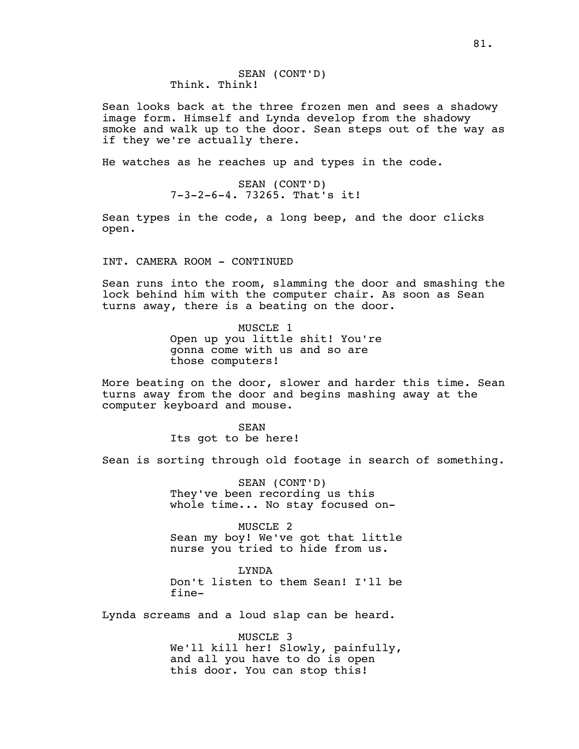Sean looks back at the three frozen men and sees a shadowy image form. Himself and Lynda develop from the shadowy smoke and walk up to the door. Sean steps out of the way as if they we're actually there.

He watches as he reaches up and types in the code.

SEAN (CONT'D) 7-3-2-6-4. 73265. That's it!

Sean types in the code, a long beep, and the door clicks open.

INT. CAMERA ROOM - CONTINUED

Sean runs into the room, slamming the door and smashing the lock behind him with the computer chair. As soon as Sean turns away, there is a beating on the door.

> MUSCLE 1 Open up you little shit! You're gonna come with us and so are those computers!

More beating on the door, slower and harder this time. Sean turns away from the door and begins mashing away at the computer keyboard and mouse.

> SEAN Its got to be here!

Sean is sorting through old footage in search of something.

SEAN (CONT'D) They've been recording us this whole time... No stay focused on-

MUSCLE 2 Sean my boy! We've got that little nurse you tried to hide from us.

LYNDA Don't listen to them Sean! I'll be fine-

Lynda screams and a loud slap can be heard.

MUSCLE 3 We'll kill her! Slowly, painfully, and all you have to do is open this door. You can stop this!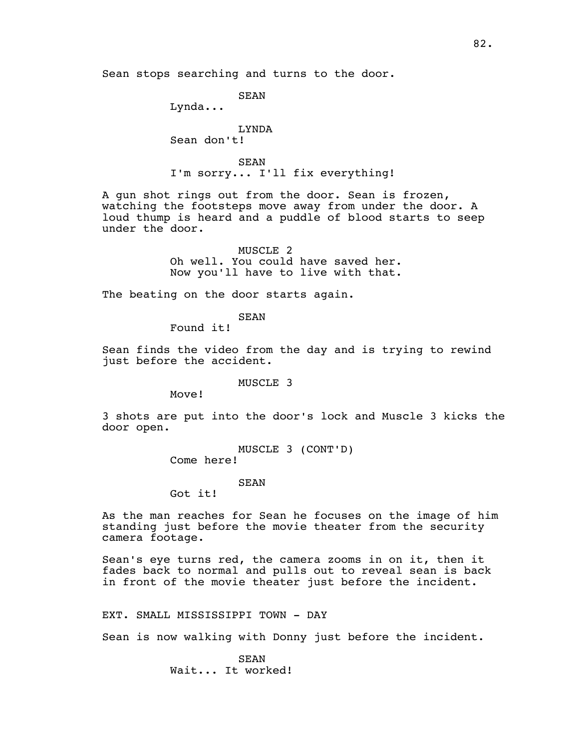SEAN

Lynda...

LYNDA

Sean don't!

SEAN I'm sorry... I'll fix everything!

A gun shot rings out from the door. Sean is frozen, watching the footsteps move away from under the door. A loud thump is heard and a puddle of blood starts to seep under the door.

> MUSCLE 2 Oh well. You could have saved her. Now you'll have to live with that.

The beating on the door starts again.

SEAN

Found it!

Sean finds the video from the day and is trying to rewind just before the accident.

MUSCLE 3

Move!

3 shots are put into the door's lock and Muscle 3 kicks the door open.

> MUSCLE 3 (CONT'D) Come here!

> > SEAN

Got it!

As the man reaches for Sean he focuses on the image of him standing just before the movie theater from the security camera footage.

Sean's eye turns red, the camera zooms in on it, then it fades back to normal and pulls out to reveal sean is back in front of the movie theater just before the incident.

EXT. SMALL MISSISSIPPI TOWN - DAY

Sean is now walking with Donny just before the incident.

SEAN Wait... It worked!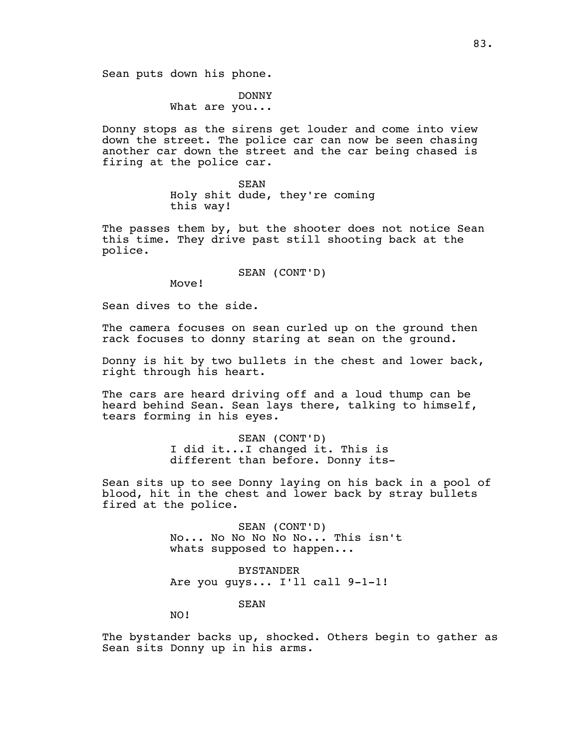DONNY

What are you...

Donny stops as the sirens get louder and come into view down the street. The police car can now be seen chasing another car down the street and the car being chased is firing at the police car.

> SEAN Holy shit dude, they're coming this way!

The passes them by, but the shooter does not notice Sean this time. They drive past still shooting back at the police.

SEAN (CONT'D)

Move!

Sean dives to the side.

The camera focuses on sean curled up on the ground then rack focuses to donny staring at sean on the ground.

Donny is hit by two bullets in the chest and lower back, right through his heart.

The cars are heard driving off and a loud thump can be heard behind Sean. Sean lays there, talking to himself, tears forming in his eyes.

> SEAN (CONT'D) I did it...I changed it. This is different than before. Donny its-

Sean sits up to see Donny laying on his back in a pool of blood, hit in the chest and lower back by stray bullets fired at the police.

> SEAN (CONT'D) No... No No No No No... This isn't whats supposed to happen...

BYSTANDER Are you guys... I'll call 9-1-1!

SEAN

NO!

The bystander backs up, shocked. Others begin to gather as Sean sits Donny up in his arms.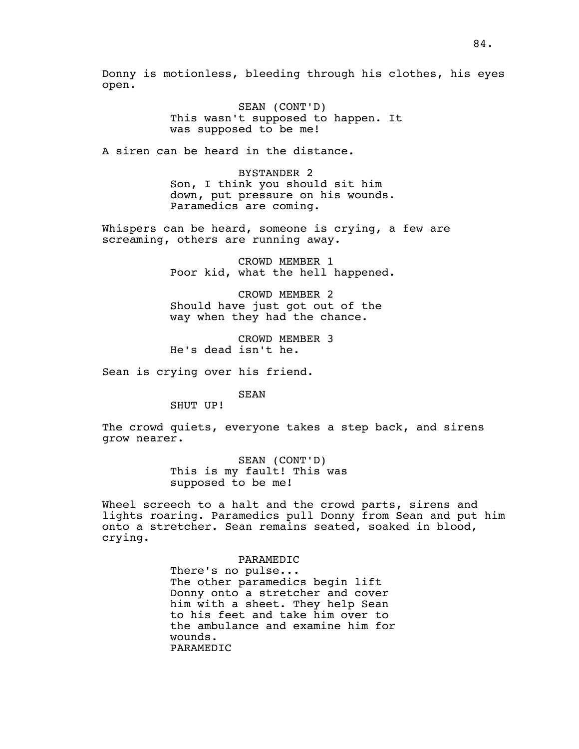Donny is motionless, bleeding through his clothes, his eyes open.

> SEAN (CONT'D) This wasn't supposed to happen. It was supposed to be me!

A siren can be heard in the distance.

BYSTANDER 2 Son, I think you should sit him down, put pressure on his wounds. Paramedics are coming.

Whispers can be heard, someone is crying, a few are screaming, others are running away.

> CROWD MEMBER 1 Poor kid, what the hell happened.

CROWD MEMBER 2 Should have just got out of the way when they had the chance.

CROWD MEMBER 3 He's dead isn't he.

Sean is crying over his friend.

SEAN

SHUT UP!

The crowd quiets, everyone takes a step back, and sirens grow nearer.

> SEAN (CONT'D) This is my fault! This was supposed to be me!

Wheel screech to a halt and the crowd parts, sirens and lights roaring. Paramedics pull Donny from Sean and put him onto a stretcher. Sean remains seated, soaked in blood, crying.

PARAMEDIC

There's no pulse... The other paramedics begin lift Donny onto a stretcher and cover him with a sheet. They help Sean to his feet and take him over to the ambulance and examine him for wounds. PARAMEDIC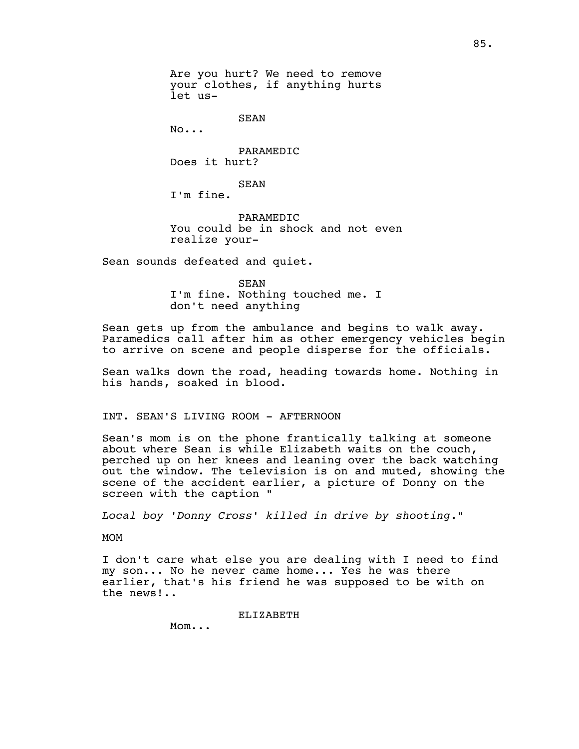Are you hurt? We need to remove your clothes, if anything hurts let us-

SEAN

No...

PARAMEDIC Does it hurt?

SEAN

I'm fine.

PARAMEDIC You could be in shock and not even realize your-

Sean sounds defeated and quiet.

SEAN I'm fine. Nothing touched me. I don't need anything

Sean gets up from the ambulance and begins to walk away. Paramedics call after him as other emergency vehicles begin to arrive on scene and people disperse for the officials.

Sean walks down the road, heading towards home. Nothing in his hands, soaked in blood.

## INT. SEAN'S LIVING ROOM - AFTERNOON

Sean's mom is on the phone frantically talking at someone about where Sean is while Elizabeth waits on the couch, perched up on her knees and leaning over the back watching out the window. The television is on and muted, showing the scene of the accident earlier, a picture of Donny on the screen with the caption "

*Local boy 'Donny Cross' killed in drive by shooting."*

MOM

I don't care what else you are dealing with I need to find my son... No he never came home... Yes he was there earlier, that's his friend he was supposed to be with on the news!..

ELIZABETH

Mom...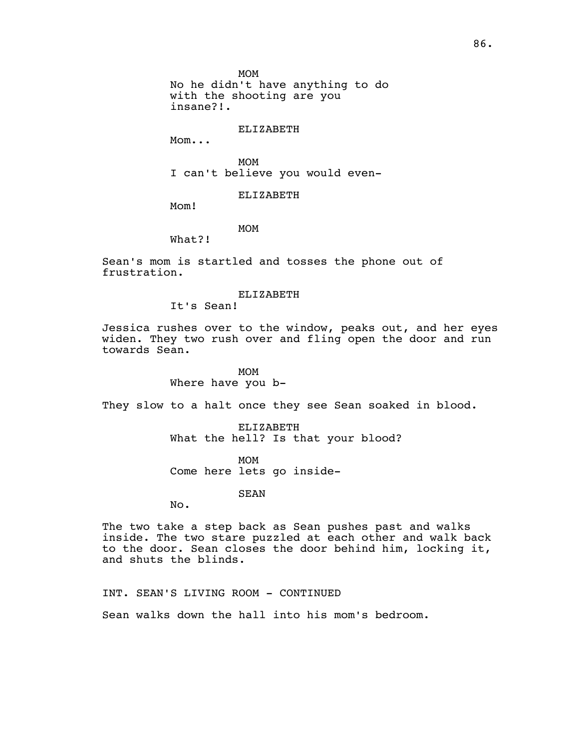MOM

No he didn't have anything to do with the shooting are you insane?!.

ELIZABETH

Mom...

MOM I can't believe you would even-

ELIZABETH

Mom!

# MOM

What?!

Sean's mom is startled and tosses the phone out of frustration.

#### ELIZABETH

It's Sean!

Jessica rushes over to the window, peaks out, and her eyes widen. They two rush over and fling open the door and run towards Sean.

## MOM

Where have you b-

They slow to a halt once they see Sean soaked in blood.

ELIZABETH What the hell? Is that your blood?

MOM Come here lets go inside-

SEAN

No.

The two take a step back as Sean pushes past and walks inside. The two stare puzzled at each other and walk back to the door. Sean closes the door behind him, locking it, and shuts the blinds.

INT. SEAN'S LIVING ROOM - CONTINUED

Sean walks down the hall into his mom's bedroom.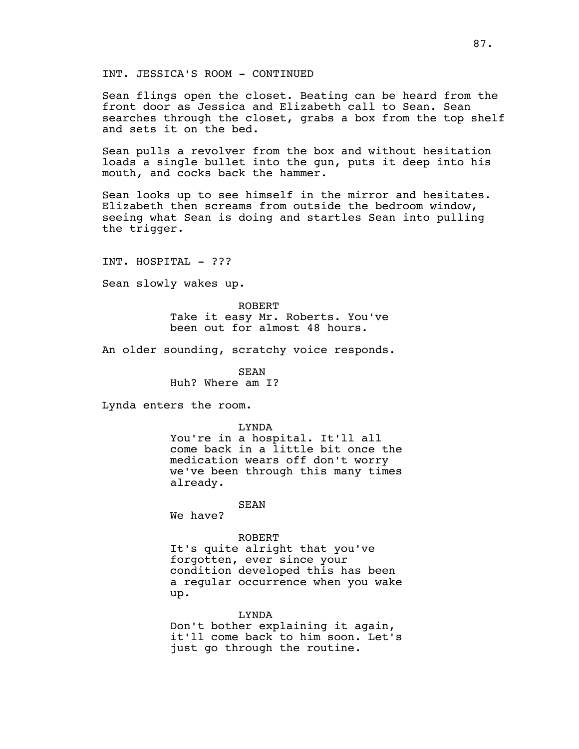INT. JESSICA'S ROOM - CONTINUED

Sean flings open the closet. Beating can be heard from the front door as Jessica and Elizabeth call to Sean. Sean searches through the closet, grabs a box from the top shelf and sets it on the bed.

Sean pulls a revolver from the box and without hesitation loads a single bullet into the gun, puts it deep into his mouth, and cocks back the hammer.

Sean looks up to see himself in the mirror and hesitates. Elizabeth then screams from outside the bedroom window, seeing what Sean is doing and startles Sean into pulling the trigger.

INT. HOSPITAL - ???

Sean slowly wakes up.

ROBERT Take it easy Mr. Roberts. You've been out for almost 48 hours.

An older sounding, scratchy voice responds.

SEAN Huh? Where am I?

Lynda enters the room.

LYNDA

You're in a hospital. It'll all come back in a little bit once the medication wears off don't worry we've been through this many times already.

# SEAN

We have?

#### ROBERT

It's quite alright that you've forgotten, ever since your condition developed this has been a regular occurrence when you wake up.

LYNDA Don't bother explaining it again, it'll come back to him soon. Let's just go through the routine.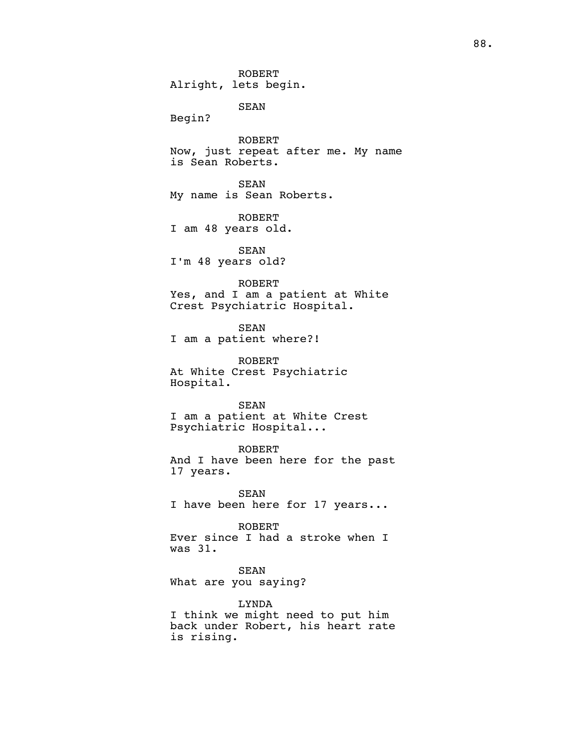ROBERT Alright, lets begin. SEAN Begin? ROBERT Now, just repeat after me. My name is Sean Roberts. SEAN My name is Sean Roberts. ROBERT I am 48 years old. SEAN I'm 48 years old? ROBERT Yes, and I am a patient at White Crest Psychiatric Hospital. SEAN I am a patient where?! ROBERT At White Crest Psychiatric Hospital. SEAN I am a patient at White Crest Psychiatric Hospital... ROBERT And I have been here for the past 17 years. SEAN I have been here for 17 years... ROBERT Ever since I had a stroke when I was 31. SEAN What are you saying?

LYNDA I think we might need to put him back under Robert, his heart rate is rising.